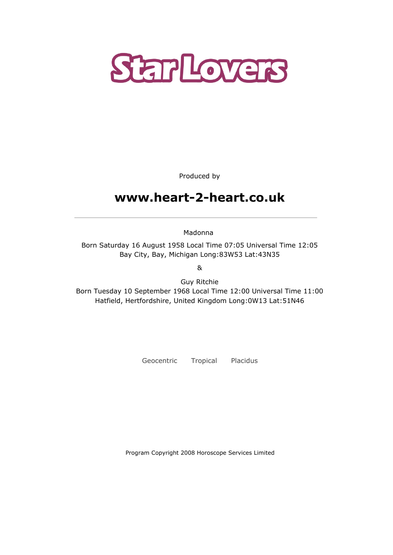

Produced by

# www.heart-2-heart.co.uk

Madonna

Born Saturday 16 August 1958 Local Time 07:05 Universal Time 12:05 Bay City, Bay, Michigan Long:83W53 Lat:43N35

&

Guy Ritchie Born Tuesday 10 September 1968 Local Time 12:00 Universal Time 11:00 Hatfield, Hertfordshire, United Kingdom Long:0W13 Lat:51N46

Geocentric Tropical Placidus

Program Copyright 2008 Horoscope Services Limited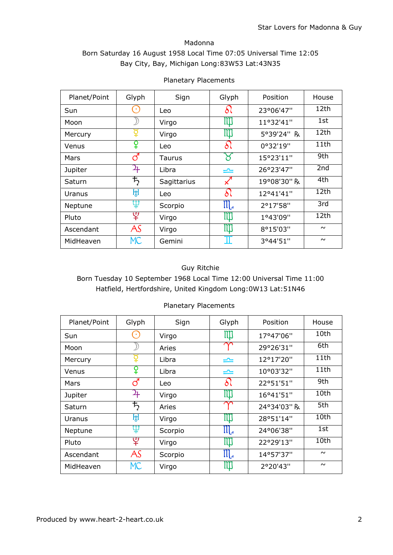### Madonna Born Saturday 16 August 1958 Local Time 07:05 Universal Time 12:05 Bay City, Bay, Michigan Long:83W53 Lat:43N35

| Planet/Point | Glyph          | Sign        | Glyph            | Position    | House  |
|--------------|----------------|-------------|------------------|-------------|--------|
| Sun          | ×              | Leo         | δι               | 23°06'47"   | 12th   |
| Moon         |                | Virgo       | III]             | 11°32'41"   | 1st    |
| Mercury      | ¥              | Virgo       | ill              | 5°39'24" R  | 12th   |
| Venus        | ¥              | Leo         | δl               | 0°32'19"    |        |
| Mars         | ර              | Taurus      |                  | 15°23'11"   | 9th    |
| Jupiter      | 27             | Libra       | ⋍                | 26°23'47"   | 2nd    |
| Saturn       | $\bm{\bar{5}}$ | Sagittarius | $\measuredangle$ | 19°08'30" R | 4th    |
| Uranus       | ਸ਼੍ਰ           | Leo         | Sl               | 12°41'41"   | 12th   |
| Neptune      | Ψ              | Scorpio     | $\mathfrak{m}$   | 2°17'58"    | 3rd    |
| Pluto        | ೪              | Virgo       | Ш                | 1°43'09"    | 12th   |
| Ascendant    | AS             | Virgo       | III              | 8°15'03"    |        |
| MidHeaven    | <b>MC</b>      | Gemini      | Π                | 3°44'51"    | $\sim$ |

#### Planetary Placements

### Guy Ritchie

Born Tuesday 10 September 1968 Local Time 12:00 Universal Time 11:00 Hatfield, Hertfordshire, United Kingdom Long:0W13 Lat:51N46

| <b>Planetary Placements</b> |  |
|-----------------------------|--|
|                             |  |

| Planet/Point | Glyph                 | Sign    | Glyph                                     | Position    | House  |
|--------------|-----------------------|---------|-------------------------------------------|-------------|--------|
| Sun          | 8                     | Virgo   | Ш                                         | 17°47'06"   | 10th   |
| Moon         |                       | Aries   | $\sim$                                    | 29°26'31"   | 6th    |
| Mercury      |                       | Libra   | ⋍                                         | 12°17'20"   | 11th   |
| Venus        | ¥                     | Libra   | ⋍                                         | 10°03'32"   | 11th   |
| Mars         | ර                     | Leo     | $\delta$                                  | 22°51'51"   | 9th    |
| Jupiter      | 4                     | Virgo   | Щ                                         | 16°41'51"   | 10th   |
| Saturn       | $\bm{\mathit{t}}_{2}$ | Aries   | $\sim$                                    | 24°34'03" R | 5th    |
| Uranus       | ਸ਼੍ਰ                  | Virgo   | $\mathfrak{m}$                            | 28°51'14"   | 10th   |
| Neptune      | Ψ                     | Scorpio | ${\mathfrak m}$                           | 24°06'38"   | 1st    |
| Pluto        | ೪                     | Virgo   | M                                         | 22°29'13"   | 10th   |
| Ascendant    | AS                    | Scorpio | ${\rm I\hspace{-.1em}I\hspace{-.1em}I}_4$ | 14°57'37"   | $\sim$ |
| MidHeaven    | <b>MC</b>             | Virgo   | <u>iji</u>                                | 2°20'43"    | $\sim$ |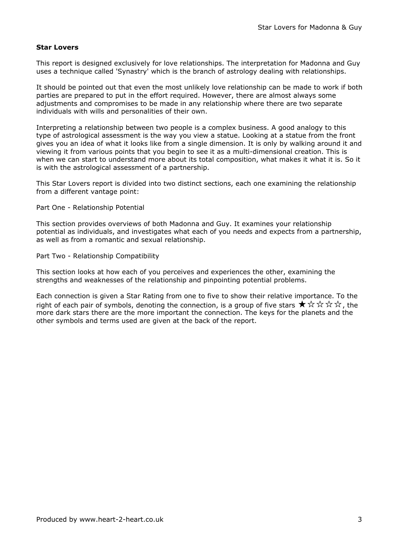#### Star Lovers

This report is designed exclusively for love relationships. The interpretation for Madonna and Guy uses a technique called 'Synastry' which is the branch of astrology dealing with relationships.

It should be pointed out that even the most unlikely love relationship can be made to work if both parties are prepared to put in the effort required. However, there are almost always some adjustments and compromises to be made in any relationship where there are two separate individuals with wills and personalities of their own.

Interpreting a relationship between two people is a complex business. A good analogy to this type of astrological assessment is the way you view a statue. Looking at a statue from the front gives you an idea of what it looks like from a single dimension. It is only by walking around it and viewing it from various points that you begin to see it as a multi-dimensional creation. This is when we can start to understand more about its total composition, what makes it what it is. So it is with the astrological assessment of a partnership.

This Star Lovers report is divided into two distinct sections, each one examining the relationship from a different vantage point:

Part One - Relationship Potential

This section provides overviews of both Madonna and Guy. It examines your relationship potential as individuals, and investigates what each of you needs and expects from a partnership, as well as from a romantic and sexual relationship.

Part Two - Relationship Compatibility

This section looks at how each of you perceives and experiences the other, examining the strengths and weaknesses of the relationship and pinpointing potential problems.

Each connection is given a Star Rating from one to five to show their relative importance. To the right of each pair of symbols, denoting the connection, is a group of five stars  $\star \star \star \star \star$ , the more dark stars there are the more important the connection. The keys for the planets and the other symbols and terms used are given at the back of the report.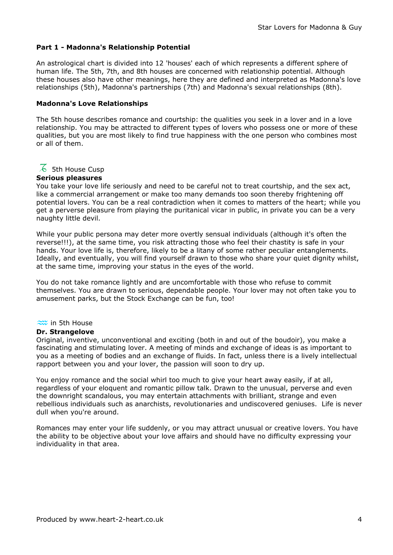#### Part 1 - Madonna's Relationship Potential

An astrological chart is divided into 12 'houses' each of which represents a different sphere of human life. The 5th, 7th, and 8th houses are concerned with relationship potential. Although these houses also have other meanings, here they are defined and interpreted as Madonna's love relationships (5th), Madonna's partnerships (7th) and Madonna's sexual relationships (8th).

#### Madonna's Love Relationships

The 5th house describes romance and courtship: the qualities you seek in a lover and in a love relationship. You may be attracted to different types of lovers who possess one or more of these qualities, but you are most likely to find true happiness with the one person who combines most or all of them.

 $\overline{6}$  5th House Cusp

#### Serious pleasures

You take your love life seriously and need to be careful not to treat courtship, and the sex act, like a commercial arrangement or make too many demands too soon thereby frightening off potential lovers. You can be a real contradiction when it comes to matters of the heart; while you get a perverse pleasure from playing the puritanical vicar in public, in private you can be a very naughty little devil.

While your public persona may deter more overtly sensual individuals (although it's often the reverse!!!), at the same time, you risk attracting those who feel their chastity is safe in your hands. Your love life is, therefore, likely to be a litany of some rather peculiar entanglements. Ideally, and eventually, you will find yourself drawn to those who share your quiet dignity whilst, at the same time, improving your status in the eyes of the world.

You do not take romance lightly and are uncomfortable with those who refuse to commit themselves. You are drawn to serious, dependable people. Your lover may not often take you to amusement parks, but the Stock Exchange can be fun, too!

#### $\approx$  in 5th House

#### Dr. Strangelove

Original, inventive, unconventional and exciting (both in and out of the boudoir), you make a fascinating and stimulating lover. A meeting of minds and exchange of ideas is as important to you as a meeting of bodies and an exchange of fluids. In fact, unless there is a lively intellectual rapport between you and your lover, the passion will soon to dry up.

You enjoy romance and the social whirl too much to give your heart away easily, if at all, regardless of your eloquent and romantic pillow talk. Drawn to the unusual, perverse and even the downright scandalous, you may entertain attachments with brilliant, strange and even rebellious individuals such as anarchists, revolutionaries and undiscovered geniuses. Life is never dull when you're around.

Romances may enter your life suddenly, or you may attract unusual or creative lovers. You have the ability to be objective about your love affairs and should have no difficulty expressing your individuality in that area.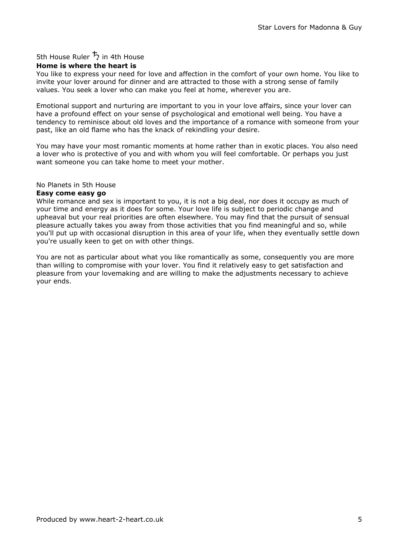## 5th House Ruler  $\overline{5}$  in 4th House

#### Home is where the heart is

You like to express your need for love and affection in the comfort of your own home. You like to invite your lover around for dinner and are attracted to those with a strong sense of family values. You seek a lover who can make you feel at home, wherever you are.

Emotional support and nurturing are important to you in your love affairs, since your lover can have a profound effect on your sense of psychological and emotional well being. You have a tendency to reminisce about old loves and the importance of a romance with someone from your past, like an old flame who has the knack of rekindling your desire.

You may have your most romantic moments at home rather than in exotic places. You also need a lover who is protective of you and with whom you will feel comfortable. Or perhaps you just want someone you can take home to meet your mother.

#### No Planets in 5th House

#### Easy come easy go

While romance and sex is important to you, it is not a big deal, nor does it occupy as much of your time and energy as it does for some. Your love life is subject to periodic change and upheaval but your real priorities are often elsewhere. You may find that the pursuit of sensual pleasure actually takes you away from those activities that you find meaningful and so, while you'll put up with occasional disruption in this area of your life, when they eventually settle down you're usually keen to get on with other things.

You are not as particular about what you like romantically as some, consequently you are more than willing to compromise with your lover. You find it relatively easy to get satisfaction and pleasure from your lovemaking and are willing to make the adjustments necessary to achieve your ends.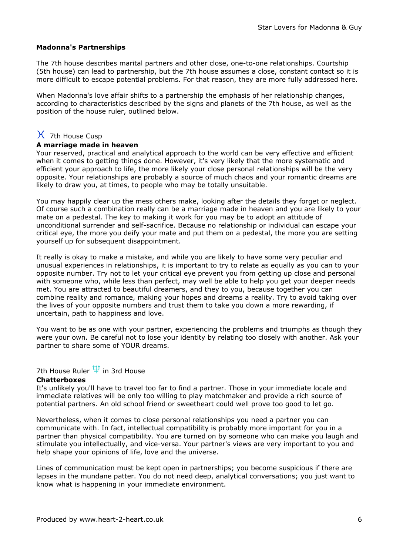#### Madonna's Partnerships

The 7th house describes marital partners and other close, one-to-one relationships. Courtship (5th house) can lead to partnership, but the 7th house assumes a close, constant contact so it is more difficult to escape potential problems. For that reason, they are more fully addressed here.

When Madonna's love affair shifts to a partnership the emphasis of her relationship changes, according to characteristics described by the signs and planets of the 7th house, as well as the position of the house ruler, outlined below.

## $\chi$  7th House Cusp

#### A marriage made in heaven

Your reserved, practical and analytical approach to the world can be very effective and efficient when it comes to getting things done. However, it's very likely that the more systematic and efficient your approach to life, the more likely your close personal relationships will be the very opposite. Your relationships are probably a source of much chaos and your romantic dreams are likely to draw you, at times, to people who may be totally unsuitable.

You may happily clear up the mess others make, looking after the details they forget or neglect. Of course such a combination really can be a marriage made in heaven and you are likely to your mate on a pedestal. The key to making it work for you may be to adopt an attitude of unconditional surrender and self-sacrifice. Because no relationship or individual can escape your critical eye, the more you deify your mate and put them on a pedestal, the more you are setting yourself up for subsequent disappointment.

It really is okay to make a mistake, and while you are likely to have some very peculiar and unusual experiences in relationships, it is important to try to relate as equally as you can to your opposite number. Try not to let your critical eye prevent you from getting up close and personal with someone who, while less than perfect, may well be able to help you get your deeper needs met. You are attracted to beautiful dreamers, and they to you, because together you can combine reality and romance, making your hopes and dreams a reality. Try to avoid taking over the lives of your opposite numbers and trust them to take you down a more rewarding, if uncertain, path to happiness and love.

You want to be as one with your partner, experiencing the problems and triumphs as though they were your own. Be careful not to lose your identity by relating too closely with another. Ask your partner to share some of YOUR dreams.

## 7th House Ruler  $\Psi$  in 3rd House

#### Chatterboxes

It's unlikely you'll have to travel too far to find a partner. Those in your immediate locale and immediate relatives will be only too willing to play matchmaker and provide a rich source of potential partners. An old school friend or sweetheart could well prove too good to let go.

Nevertheless, when it comes to close personal relationships you need a partner you can communicate with. In fact, intellectual compatibility is probably more important for you in a partner than physical compatibility. You are turned on by someone who can make you laugh and stimulate you intellectually, and vice-versa. Your partner's views are very important to you and help shape your opinions of life, love and the universe.

Lines of communication must be kept open in partnerships; you become suspicious if there are lapses in the mundane patter. You do not need deep, analytical conversations; you just want to know what is happening in your immediate environment.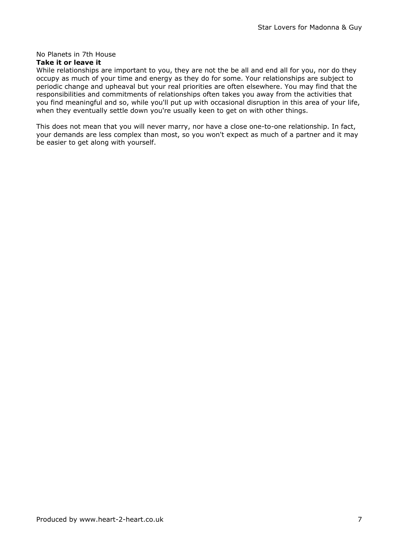## No Planets in 7th House

### Take it or leave it

While relationships are important to you, they are not the be all and end all for you, nor do they occupy as much of your time and energy as they do for some. Your relationships are subject to periodic change and upheaval but your real priorities are often elsewhere. You may find that the responsibilities and commitments of relationships often takes you away from the activities that you find meaningful and so, while you'll put up with occasional disruption in this area of your life, when they eventually settle down you're usually keen to get on with other things.

This does not mean that you will never marry, nor have a close one-to-one relationship. In fact, your demands are less complex than most, so you won't expect as much of a partner and it may be easier to get along with yourself.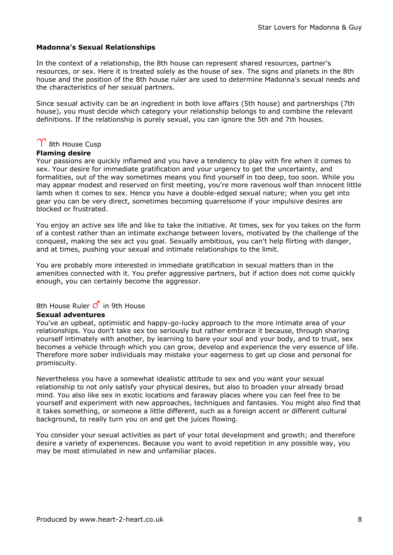#### Madonna's Sexual Relationships

In the context of a relationship, the 8th house can represent shared resources, partner's resources, or sex. Here it is treated solely as the house of sex. The signs and planets in the 8th house and the position of the 8th house ruler are used to determine Madonna's sexual needs and the characteristics of her sexual partners.

Since sexual activity can be an ingredient in both love affairs (5th house) and partnerships (7th house), you must decide which category your relationship belongs to and combine the relevant definitions. If the relationship is purely sexual, you can ignore the 5th and 7th houses.

## $\Upsilon$  8th House Cusp

#### Flaming desire

Your passions are quickly inflamed and you have a tendency to play with fire when it comes to sex. Your desire for immediate gratification and your urgency to get the uncertainty, and formalities, out of the way sometimes means you find yourself in too deep, too soon. While you may appear modest and reserved on first meeting, you're more ravenous wolf than innocent little lamb when it comes to sex. Hence you have a double-edged sexual nature; when you get into gear you can be very direct, sometimes becoming quarrelsome if your impulsive desires are blocked or frustrated.

You enjoy an active sex life and like to take the initiative. At times, sex for you takes on the form of a contest rather than an intimate exchange between lovers, motivated by the challenge of the conquest, making the sex act you goal. Sexually ambitious, you can't help flirting with danger, and at times, pushing your sexual and intimate relationships to the limit.

You are probably more interested in immediate gratification in sexual matters than in the amenities connected with it. You prefer aggressive partners, but if action does not come quickly enough, you can certainly become the aggressor.

### 8th House Ruler  $\vec{O}$  in 9th House

#### Sexual adventures

You've an upbeat, optimistic and happy-go-lucky approach to the more intimate area of your relationships. You don't take sex too seriously but rather embrace it because, through sharing yourself intimately with another, by learning to bare your soul and your body, and to trust, sex becomes a vehicle through which you can grow, develop and experience the very essence of life. Therefore more sober individuals may mistake your eagerness to get up close and personal for promiscuity.

Nevertheless you have a somewhat idealistic attitude to sex and you want your sexual relationship to not only satisfy your physical desires, but also to broaden your already broad mind. You also like sex in exotic locations and faraway places where you can feel free to be yourself and experiment with new approaches, techniques and fantasies. You might also find that it takes something, or someone a little different, such as a foreign accent or different cultural background, to really turn you on and get the juices flowing.

You consider your sexual activities as part of your total development and growth; and therefore desire a variety of experiences. Because you want to avoid repetition in any possible way, you may be most stimulated in new and unfamiliar places.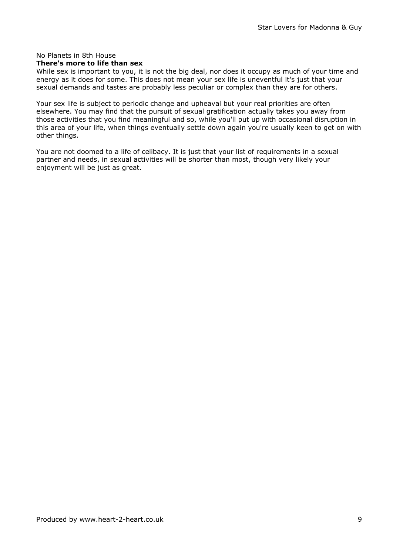### No Planets in 8th House

### There's more to life than sex

While sex is important to you, it is not the big deal, nor does it occupy as much of your time and energy as it does for some. This does not mean your sex life is uneventful it's just that your sexual demands and tastes are probably less peculiar or complex than they are for others.

Your sex life is subject to periodic change and upheaval but your real priorities are often elsewhere. You may find that the pursuit of sexual gratification actually takes you away from those activities that you find meaningful and so, while you'll put up with occasional disruption in this area of your life, when things eventually settle down again you're usually keen to get on with other things.

You are not doomed to a life of celibacy. It is just that your list of requirements in a sexual partner and needs, in sexual activities will be shorter than most, though very likely your enjoyment will be just as great.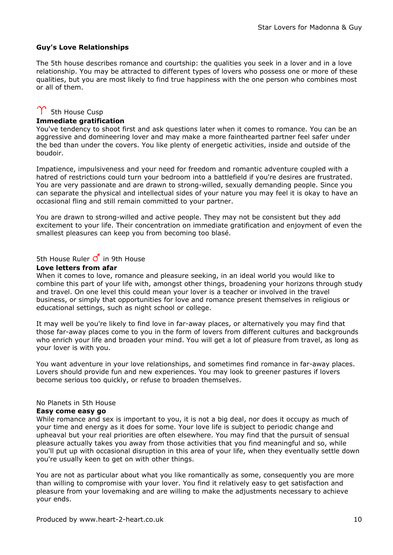#### Guy's Love Relationships

The 5th house describes romance and courtship: the qualities you seek in a lover and in a love relationship. You may be attracted to different types of lovers who possess one or more of these qualities, but you are most likely to find true happiness with the one person who combines most or all of them.

## $\Upsilon$  5th House Cusp

#### Immediate gratification

You've tendency to shoot first and ask questions later when it comes to romance. You can be an aggressive and domineering lover and may make a more fainthearted partner feel safer under the bed than under the covers. You like plenty of energetic activities, inside and outside of the boudoir.

Impatience, impulsiveness and your need for freedom and romantic adventure coupled with a hatred of restrictions could turn your bedroom into a battlefield if you're desires are frustrated. You are very passionate and are drawn to strong-willed, sexually demanding people. Since you can separate the physical and intellectual sides of your nature you may feel it is okay to have an occasional fling and still remain committed to your partner.

You are drawn to strong-willed and active people. They may not be consistent but they add excitement to your life. Their concentration on immediate gratification and enjoyment of even the smallest pleasures can keep you from becoming too blasé.

5th House Ruler  $\vec{O}$  in 9th House

#### Love letters from afar

When it comes to love, romance and pleasure seeking, in an ideal world you would like to combine this part of your life with, amongst other things, broadening your horizons through study and travel. On one level this could mean your lover is a teacher or involved in the travel business, or simply that opportunities for love and romance present themselves in religious or educational settings, such as night school or college.

It may well be you're likely to find love in far-away places, or alternatively you may find that those far-away places come to you in the form of lovers from different cultures and backgrounds who enrich your life and broaden your mind. You will get a lot of pleasure from travel, as long as your lover is with you.

You want adventure in your love relationships, and sometimes find romance in far-away places. Lovers should provide fun and new experiences. You may look to greener pastures if lovers become serious too quickly, or refuse to broaden themselves.

#### No Planets in 5th House

#### Easy come easy go

While romance and sex is important to you, it is not a big deal, nor does it occupy as much of your time and energy as it does for some. Your love life is subject to periodic change and upheaval but your real priorities are often elsewhere. You may find that the pursuit of sensual pleasure actually takes you away from those activities that you find meaningful and so, while you'll put up with occasional disruption in this area of your life, when they eventually settle down you're usually keen to get on with other things.

You are not as particular about what you like romantically as some, consequently you are more than willing to compromise with your lover. You find it relatively easy to get satisfaction and pleasure from your lovemaking and are willing to make the adjustments necessary to achieve your ends.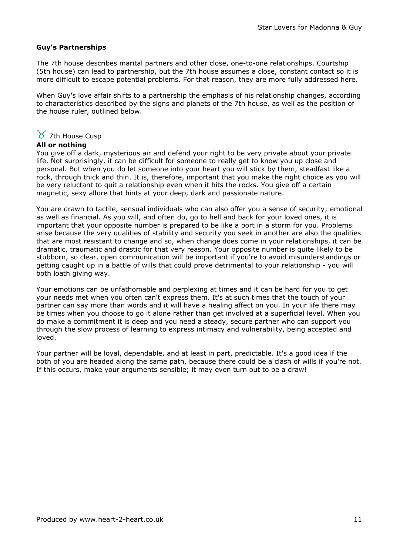#### Guy's Partnerships

The 7th house describes marital partners and other close, one-to-one relationships. Courtship (5th house) can lead to partnership, but the 7th house assumes a close, constant contact so it is more difficult to escape potential problems. For that reason, they are more fully addressed here.

When Guy's love affair shifts to a partnership the emphasis of his relationship changes, according to characteristics described by the signs and planets of the 7th house, as well as the position of the house ruler, outlined below.

## $\gamma$  7th House Cusp

#### All or nothing

You give off a dark, mysterious air and defend your right to be very private about your private life. Not surprisingly, it can be difficult for someone to really get to know you up close and personal. But when you do let someone into your heart you will stick by them, steadfast like a rock, through thick and thin. It is, therefore, important that you make the right choice as you will be very reluctant to quit a relationship even when it hits the rocks. You give off a certain magnetic, sexy allure that hints at your deep, dark and passionate nature.

You are drawn to tactile, sensual individuals who can also offer you a sense of security; emotional as well as financial. As you will, and often do, go to hell and back for your loved ones, it is important that your opposite number is prepared to be like a port in a storm for you. Problems arise because the very qualities of stability and security you seek in another are also the qualities that are most resistant to change and so, when change does come in your relationships, it can be dramatic, traumatic and drastic for that very reason. Your opposite number is quite likely to be stubborn, so clear, open communication will be important if you're to avoid misunderstandings or getting caught up in a battle of wills that could prove detrimental to your relationship - you will both loath giving way.

Your emotions can be unfathomable and perplexing at times and it can be hard for you to get your needs met when you often can't express them. It's at such times that the touch of your partner can say more than words and it will have a healing affect on you. In your life there may be times when you choose to go it alone rather than get involved at a superficial level. When you do make a commitment it is deep and you need a steady, secure partner who can support you through the slow process of learning to express intimacy and vulnerability, being accepted and loved.

Your partner will be loyal, dependable, and at least in part, predictable. It's a good idea if the both of you are headed along the same path, because there could be a clash of wills if you're not. If this occurs, make your arguments sensible; it may even turn out to be a draw!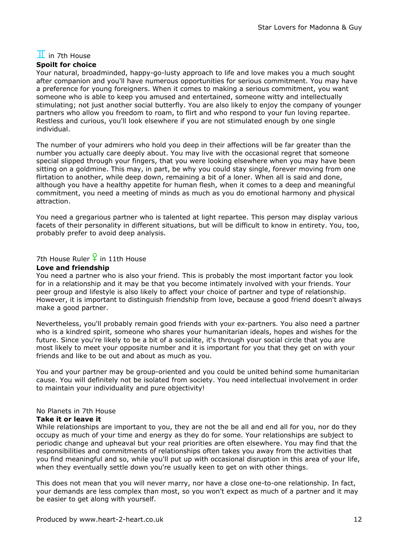# $\mathbf I$  in 7th House

#### Spoilt for choice

Your natural, broadminded, happy-go-lusty approach to life and love makes you a much sought after companion and you'll have numerous opportunities for serious commitment. You may have a preference for young foreigners. When it comes to making a serious commitment, you want someone who is able to keep you amused and entertained, someone witty and intellectually stimulating; not just another social butterfly. You are also likely to enjoy the company of younger partners who allow you freedom to roam, to flirt and who respond to your fun loving repartee. Restless and curious, you'll look elsewhere if you are not stimulated enough by one single individual.

The number of your admirers who hold you deep in their affections will be far greater than the number you actually care deeply about. You may live with the occasional regret that someone special slipped through your fingers, that you were looking elsewhere when you may have been sitting on a goldmine. This may, in part, be why you could stay single, forever moving from one flirtation to another, while deep down, remaining a bit of a loner. When all is said and done, although you have a healthy appetite for human flesh, when it comes to a deep and meaningful commitment, you need a meeting of minds as much as you do emotional harmony and physical attraction.

You need a gregarious partner who is talented at light repartee. This person may display various facets of their personality in different situations, but will be difficult to know in entirety. You, too, probably prefer to avoid deep analysis.

7th House Ruler  $\frac{6}{5}$  in 11th House

### Love and friendship

You need a partner who is also your friend. This is probably the most important factor you look for in a relationship and it may be that you become intimately involved with your friends. Your peer group and lifestyle is also likely to affect your choice of partner and type of relationship. However, it is important to distinguish friendship from love, because a good friend doesn't always make a good partner.

Nevertheless, you'll probably remain good friends with your ex-partners. You also need a partner who is a kindred spirit, someone who shares your humanitarian ideals, hopes and wishes for the future. Since you're likely to be a bit of a socialite, it's through your social circle that you are most likely to meet your opposite number and it is important for you that they get on with your friends and like to be out and about as much as you.

You and your partner may be group-oriented and you could be united behind some humanitarian cause. You will definitely not be isolated from society. You need intellectual involvement in order to maintain your individuality and pure objectivity!

#### No Planets in 7th House

#### Take it or leave it

While relationships are important to you, they are not the be all and end all for you, nor do they occupy as much of your time and energy as they do for some. Your relationships are subject to periodic change and upheaval but your real priorities are often elsewhere. You may find that the responsibilities and commitments of relationships often takes you away from the activities that you find meaningful and so, while you'll put up with occasional disruption in this area of your life, when they eventually settle down you're usually keen to get on with other things.

This does not mean that you will never marry, nor have a close one-to-one relationship. In fact, your demands are less complex than most, so you won't expect as much of a partner and it may be easier to get along with yourself.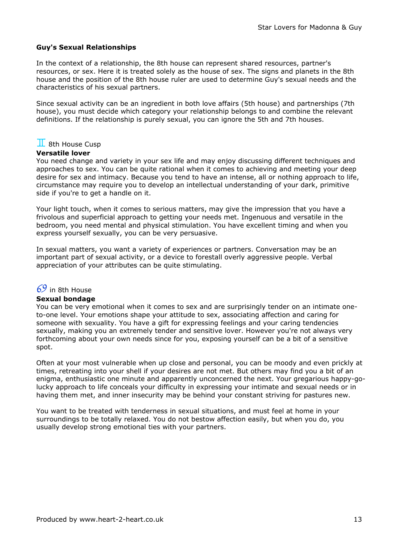#### Guy's Sexual Relationships

In the context of a relationship, the 8th house can represent shared resources, partner's resources, or sex. Here it is treated solely as the house of sex. The signs and planets in the 8th house and the position of the 8th house ruler are used to determine Guy's sexual needs and the characteristics of his sexual partners.

Since sexual activity can be an ingredient in both love affairs (5th house) and partnerships (7th house), you must decide which category your relationship belongs to and combine the relevant definitions. If the relationship is purely sexual, you can ignore the 5th and 7th houses.

### $\mathbf I$  8th House Cusp

#### Versatile lover

You need change and variety in your sex life and may enjoy discussing different techniques and approaches to sex. You can be quite rational when it comes to achieving and meeting your deep desire for sex and intimacy. Because you tend to have an intense, all or nothing approach to life, circumstance may require you to develop an intellectual understanding of your dark, primitive side if you're to get a handle on it.

Your light touch, when it comes to serious matters, may give the impression that you have a frivolous and superficial approach to getting your needs met. Ingenuous and versatile in the bedroom, you need mental and physical stimulation. You have excellent timing and when you express yourself sexually, you can be very persuasive.

In sexual matters, you want a variety of experiences or partners. Conversation may be an important part of sexual activity, or a device to forestall overly aggressive people. Verbal appreciation of your attributes can be quite stimulating.

### $69$  in 8th House

#### Sexual bondage

You can be very emotional when it comes to sex and are surprisingly tender on an intimate oneto-one level. Your emotions shape your attitude to sex, associating affection and caring for someone with sexuality. You have a gift for expressing feelings and your caring tendencies sexually, making you an extremely tender and sensitive lover. However you're not always very forthcoming about your own needs since for you, exposing yourself can be a bit of a sensitive spot.

Often at your most vulnerable when up close and personal, you can be moody and even prickly at times, retreating into your shell if your desires are not met. But others may find you a bit of an enigma, enthusiastic one minute and apparently unconcerned the next. Your gregarious happy-golucky approach to life conceals your difficulty in expressing your intimate and sexual needs or in having them met, and inner insecurity may be behind your constant striving for pastures new.

You want to be treated with tenderness in sexual situations, and must feel at home in your surroundings to be totally relaxed. You do not bestow affection easily, but when you do, you usually develop strong emotional ties with your partners.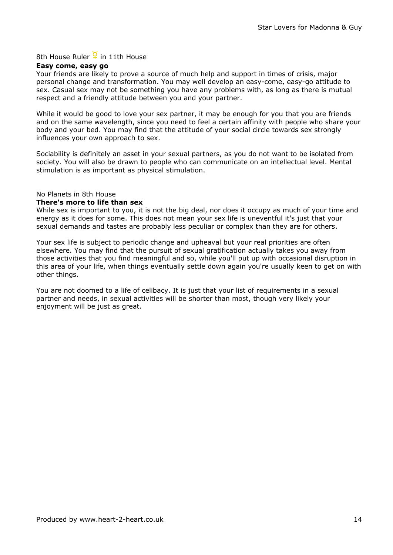### 8th House Ruler  $\frac{8}{1}$  in 11th House

#### Easy come, easy go

Your friends are likely to prove a source of much help and support in times of crisis, major personal change and transformation. You may well develop an easy-come, easy-go attitude to sex. Casual sex may not be something you have any problems with, as long as there is mutual respect and a friendly attitude between you and your partner.

While it would be good to love your sex partner, it may be enough for you that you are friends and on the same wavelength, since you need to feel a certain affinity with people who share your body and your bed. You may find that the attitude of your social circle towards sex strongly influences your own approach to sex.

Sociability is definitely an asset in your sexual partners, as you do not want to be isolated from society. You will also be drawn to people who can communicate on an intellectual level. Mental stimulation is as important as physical stimulation.

#### No Planets in 8th House

#### There's more to life than sex

While sex is important to you, it is not the big deal, nor does it occupy as much of your time and energy as it does for some. This does not mean your sex life is uneventful it's just that your sexual demands and tastes are probably less peculiar or complex than they are for others.

Your sex life is subject to periodic change and upheaval but your real priorities are often elsewhere. You may find that the pursuit of sexual gratification actually takes you away from those activities that you find meaningful and so, while you'll put up with occasional disruption in this area of your life, when things eventually settle down again you're usually keen to get on with other things.

You are not doomed to a life of celibacy. It is just that your list of requirements in a sexual partner and needs, in sexual activities will be shorter than most, though very likely your enjoyment will be just as great.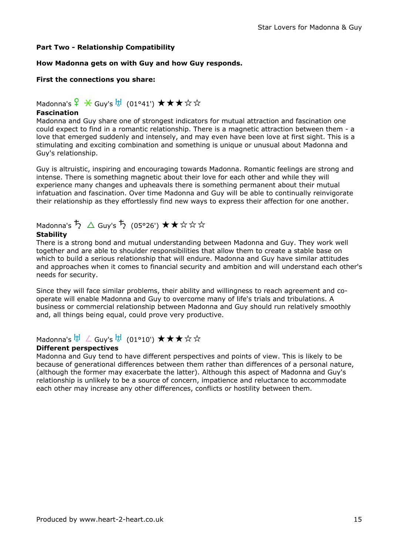#### Part Two - Relationship Compatibility

#### How Madonna gets on with Guy and how Guy responds.

#### First the connections you share:

### Madonna's  $\frac{6}{5}$   $\frac{4}{5}$  Guy's  $\frac{11}{5}$  (01°41')  $\star \star \star \star \star \star$

#### Fascination

Madonna and Guy share one of strongest indicators for mutual attraction and fascination one could expect to find in a romantic relationship. There is a magnetic attraction between them - a love that emerged suddenly and intensely, and may even have been love at first sight. This is a stimulating and exciting combination and something is unique or unusual about Madonna and Guy's relationship.

Guy is altruistic, inspiring and encouraging towards Madonna. Romantic feelings are strong and intense. There is something magnetic about their love for each other and while they will experience many changes and upheavals there is something permanent about their mutual infatuation and fascination. Over time Madonna and Guy will be able to continually reinvigorate their relationship as they effortlessly find new ways to express their affection for one another.

# Madonna's  $\overline{5}$   $\Delta$  Guy's  $\overline{5}$  (05°26')  $\star\star\star\star\star$

### **Stability**

There is a strong bond and mutual understanding between Madonna and Guy. They work well together and are able to shoulder responsibilities that allow them to create a stable base on which to build a serious relationship that will endure. Madonna and Guy have similar attitudes and approaches when it comes to financial security and ambition and will understand each other's needs for security.

Since they will face similar problems, their ability and willingness to reach agreement and cooperate will enable Madonna and Guy to overcome many of life's trials and tribulations. A business or commercial relationship between Madonna and Guy should run relatively smoothly and, all things being equal, could prove very productive.

### Madonna's  $\overline{b}$   $\overline{b}$   $\angle$  Guy's  $\overline{b}$  (01°10')  $\star \star \star \star \star$

#### Different perspectives

Madonna and Guy tend to have different perspectives and points of view. This is likely to be because of generational differences between them rather than differences of a personal nature, (although the former may exacerbate the latter). Although this aspect of Madonna and Guy's relationship is unlikely to be a source of concern, impatience and reluctance to accommodate each other may increase any other differences, conflicts or hostility between them.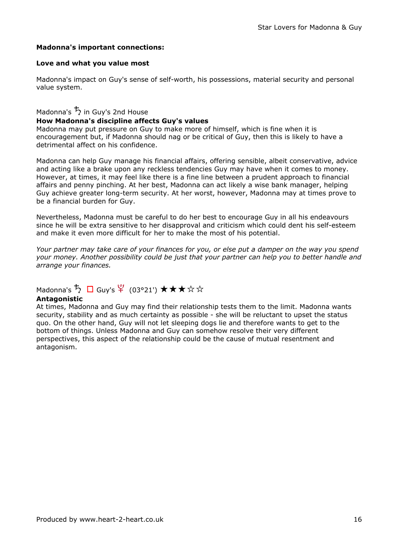#### Madonna's important connections:

#### Love and what you value most

Madonna's impact on Guy's sense of self-worth, his possessions, material security and personal value system.

### Madonna's  $\frac{1}{2}$  in Guy's 2nd House How Madonna's discipline affects Guy's values

Madonna may put pressure on Guy to make more of himself, which is fine when it is encouragement but, if Madonna should nag or be critical of Guy, then this is likely to have a detrimental affect on his confidence.

Madonna can help Guy manage his financial affairs, offering sensible, albeit conservative, advice and acting like a brake upon any reckless tendencies Guy may have when it comes to money. However, at times, it may feel like there is a fine line between a prudent approach to financial affairs and penny pinching. At her best, Madonna can act likely a wise bank manager, helping Guy achieve greater long-term security. At her worst, however, Madonna may at times prove to be a financial burden for Guy.

Nevertheless, Madonna must be careful to do her best to encourage Guy in all his endeavours since he will be extra sensitive to her disapproval and criticism which could dent his self-esteem and make it even more difficult for her to make the most of his potential.

Your partner may take care of your finances for you, or else put a damper on the way you spend your money. Another possibility could be just that your partner can help you to better handle and arrange your finances.

## Madonna's  $\overline{5}$   $\Box$  Guy's  $\frac{\varphi}{4}$  (03°21')  $\star \star \star \star \star$

#### Antagonistic

At times, Madonna and Guy may find their relationship tests them to the limit. Madonna wants security, stability and as much certainty as possible - she will be reluctant to upset the status quo. On the other hand, Guy will not let sleeping dogs lie and therefore wants to get to the bottom of things. Unless Madonna and Guy can somehow resolve their very different perspectives, this aspect of the relationship could be the cause of mutual resentment and antagonism.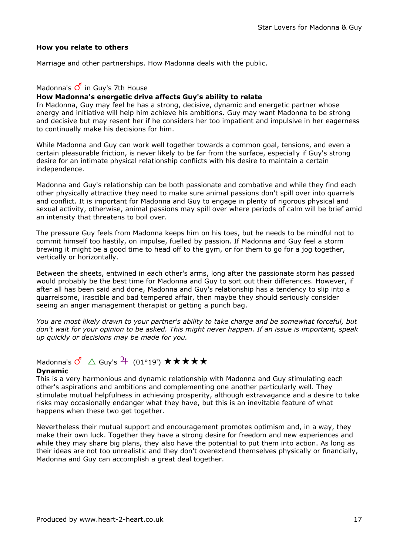#### How you relate to others

Marriage and other partnerships. How Madonna deals with the public.

#### Madonna's  $\overline{O}$  in Guy's 7th House

### How Madonna's energetic drive affects Guy's ability to relate

In Madonna, Guy may feel he has a strong, decisive, dynamic and energetic partner whose energy and initiative will help him achieve his ambitions. Guy may want Madonna to be strong and decisive but may resent her if he considers her too impatient and impulsive in her eagerness to continually make his decisions for him.

While Madonna and Guy can work well together towards a common goal, tensions, and even a certain pleasurable friction, is never likely to be far from the surface, especially if Guy's strong desire for an intimate physical relationship conflicts with his desire to maintain a certain independence.

Madonna and Guy's relationship can be both passionate and combative and while they find each other physically attractive they need to make sure animal passions don't spill over into quarrels and conflict. It is important for Madonna and Guy to engage in plenty of rigorous physical and sexual activity, otherwise, animal passions may spill over where periods of calm will be brief amid an intensity that threatens to boil over.

The pressure Guy feels from Madonna keeps him on his toes, but he needs to be mindful not to commit himself too hastily, on impulse, fuelled by passion. If Madonna and Guy feel a storm brewing it might be a good time to head off to the gym, or for them to go for a jog together, vertically or horizontally.

Between the sheets, entwined in each other's arms, long after the passionate storm has passed would probably be the best time for Madonna and Guy to sort out their differences. However, if after all has been said and done, Madonna and Guy's relationship has a tendency to slip into a quarrelsome, irascible and bad tempered affair, then maybe they should seriously consider seeing an anger management therapist or getting a punch bag.

You are most likely drawn to your partner's ability to take charge and be somewhat forceful, but don't wait for your opinion to be asked. This might never happen. If an issue is important, speak up quickly or decisions may be made for you.

## Madonna's  $\overline{Q}^n$   $\triangle$  Guy's  $\overline{P}$  (01°19')  $\star \star \star \star \star$

#### Dynamic

This is a very harmonious and dynamic relationship with Madonna and Guy stimulating each other's aspirations and ambitions and complementing one another particularly well. They stimulate mutual helpfulness in achieving prosperity, although extravagance and a desire to take risks may occasionally endanger what they have, but this is an inevitable feature of what happens when these two get together.

Nevertheless their mutual support and encouragement promotes optimism and, in a way, they make their own luck. Together they have a strong desire for freedom and new experiences and while they may share big plans, they also have the potential to put them into action. As long as their ideas are not too unrealistic and they don't overextend themselves physically or financially, Madonna and Guy can accomplish a great deal together.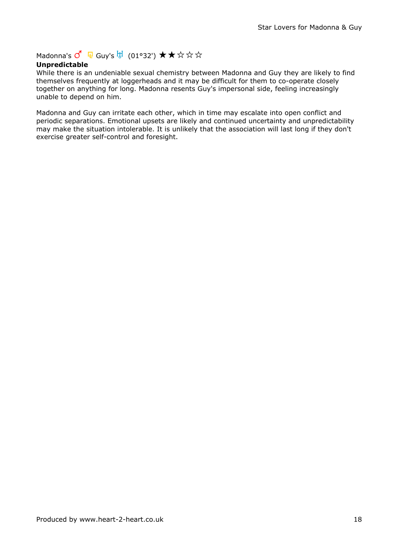Madonna's  $\overline{Q}^{\prime}$  Q Guy's  $\overline{b}$  (01°32') ★★☆☆☆

#### Unpredictable

While there is an undeniable sexual chemistry between Madonna and Guy they are likely to find themselves frequently at loggerheads and it may be difficult for them to co-operate closely together on anything for long. Madonna resents Guy's impersonal side, feeling increasingly unable to depend on him.

Madonna and Guy can irritate each other, which in time may escalate into open conflict and periodic separations. Emotional upsets are likely and continued uncertainty and unpredictability may make the situation intolerable. It is unlikely that the association will last long if they don't exercise greater self-control and foresight.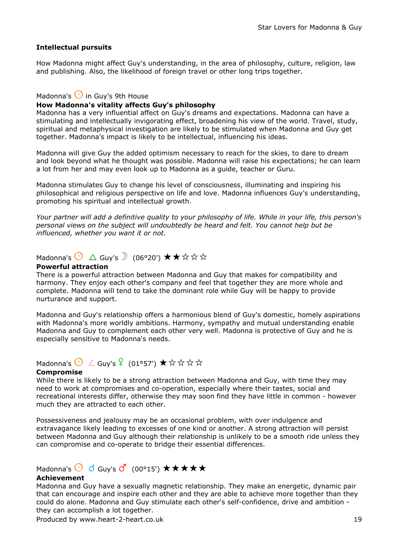#### Intellectual pursuits

How Madonna might affect Guy's understanding, in the area of philosophy, culture, religion, law and publishing. Also, the likelihood of foreign travel or other long trips together.

#### Madonna's  $\bigodot$  in Guy's 9th House

#### How Madonna's vitality affects Guy's philosophy

Madonna has a very influential affect on Guy's dreams and expectations. Madonna can have a stimulating and intellectually invigorating effect, broadening his view of the world. Travel, study, spiritual and metaphysical investigation are likely to be stimulated when Madonna and Guy get together. Madonna's impact is likely to be intellectual, influencing his ideas.

Madonna will give Guy the added optimism necessary to reach for the skies, to dare to dream and look beyond what he thought was possible. Madonna will raise his expectations; he can learn a lot from her and may even look up to Madonna as a guide, teacher or Guru.

Madonna stimulates Guy to change his level of consciousness, illuminating and inspiring his philosophical and religious perspective on life and love. Madonna influences Guy's understanding, promoting his spiritual and intellectual growth.

Your partner will add a definitive quality to your philosophy of life. While in your life, this person's personal views on the subject will undoubtedly be heard and felt. You cannot help but be influenced, whether you want it or not.

## Madonna's  $\bigodot$   $\Delta$  Guy's  $\bigcirc$  (06°20')  $\star \star \star \star \star$

#### Powerful attraction

There is a powerful attraction between Madonna and Guy that makes for compatibility and harmony. They enjoy each other's company and feel that together they are more whole and complete. Madonna will tend to take the dominant role while Guy will be happy to provide nurturance and support.

Madonna and Guy's relationship offers a harmonious blend of Guy's domestic, homely aspirations with Madonna's more worldly ambitions. Harmony, sympathy and mutual understanding enable Madonna and Guy to complement each other very well. Madonna is protective of Guy and he is especially sensitive to Madonna's needs.

Madonna's  $\bigodot$   $\angle$  Guy's  $\frac{9}{5}$  (01°57')  $\star$   $\star$   $\star$   $\star$   $\star$   $\star$ 

#### Compromise

While there is likely to be a strong attraction between Madonna and Guy, with time they may need to work at compromises and co-operation, especially where their tastes, social and recreational interests differ, otherwise they may soon find they have little in common - however much they are attracted to each other.

Possessiveness and jealousy may be an occasional problem, with over indulgence and extravagance likely leading to excesses of one kind or another. A strong attraction will persist between Madonna and Guy although their relationship is unlikely to be a smooth ride unless they can compromise and co-operate to bridge their essential differences.

## Madonna's  $\bigodot$  of Guy's  $\mathcal{O}'$  (00°15')  $\star \star \star \star \star$

#### Achievement

Madonna and Guy have a sexually magnetic relationship. They make an energetic, dynamic pair that can encourage and inspire each other and they are able to achieve more together than they could do alone. Madonna and Guy stimulate each other's self-confidence, drive and ambition they can accomplish a lot together.

Produced by www.heart-2-heart.co.uk 19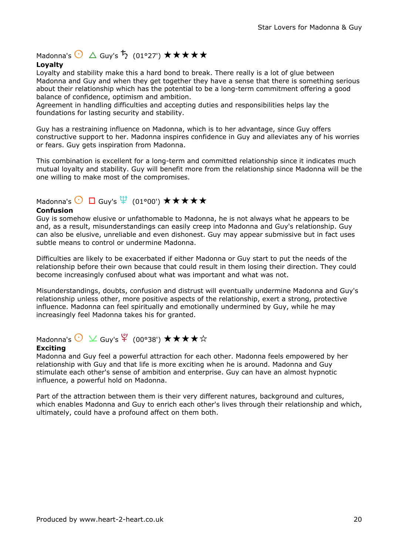Madonna's  $\bigodot$   $\triangle$  Guy's  $\overline{5}$  (01°27')  $\star\star\star\star\star$ 

### Loyalty

Loyalty and stability make this a hard bond to break. There really is a lot of glue between Madonna and Guy and when they get together they have a sense that there is something serious about their relationship which has the potential to be a long-term commitment offering a good balance of confidence, optimism and ambition.

Agreement in handling difficulties and accepting duties and responsibilities helps lay the foundations for lasting security and stability.

Guy has a restraining influence on Madonna, which is to her advantage, since Guy offers constructive support to her. Madonna inspires confidence in Guy and alleviates any of his worries or fears. Guy gets inspiration from Madonna.

This combination is excellent for a long-term and committed relationship since it indicates much mutual loyalty and stability. Guy will benefit more from the relationship since Madonna will be the one willing to make most of the compromises.

## Madonna's  $\bigodot$   $\Box$  Guy's  $\overline{\Psi}$  (01°00')  $\star\star\star\star\star$

#### Confusion

Guy is somehow elusive or unfathomable to Madonna, he is not always what he appears to be and, as a result, misunderstandings can easily creep into Madonna and Guy's relationship. Guy can also be elusive, unreliable and even dishonest. Guy may appear submissive but in fact uses subtle means to control or undermine Madonna.

Difficulties are likely to be exacerbated if either Madonna or Guy start to put the needs of the relationship before their own because that could result in them losing their direction. They could become increasingly confused about what was important and what was not.

Misunderstandings, doubts, confusion and distrust will eventually undermine Madonna and Guy's relationship unless other, more positive aspects of the relationship, exert a strong, protective influence. Madonna can feel spiritually and emotionally undermined by Guy, while he may increasingly feel Madonna takes his for granted.

## Madonna's  $\bigodot \vee$  Guy's  $\frac{\varphi}{4}$  (00°38')  $\star \star \star \star \star$

#### Exciting

Madonna and Guy feel a powerful attraction for each other. Madonna feels empowered by her relationship with Guy and that life is more exciting when he is around. Madonna and Guy stimulate each other's sense of ambition and enterprise. Guy can have an almost hypnotic influence, a powerful hold on Madonna.

Part of the attraction between them is their very different natures, background and cultures, which enables Madonna and Guy to enrich each other's lives through their relationship and which, ultimately, could have a profound affect on them both.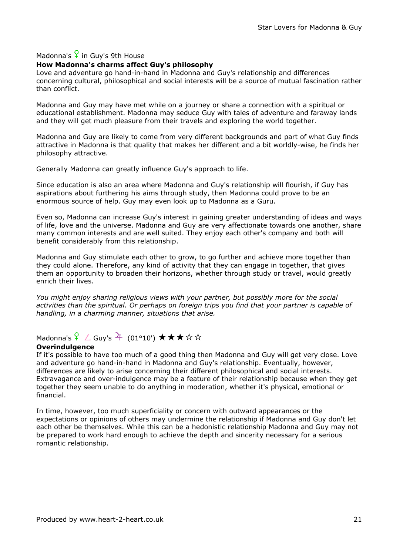## Madonna's  $\frac{6}{5}$  in Guy's 9th House

#### How Madonna's charms affect Guy's philosophy

Love and adventure go hand-in-hand in Madonna and Guy's relationship and differences concerning cultural, philosophical and social interests will be a source of mutual fascination rather than conflict.

Madonna and Guy may have met while on a journey or share a connection with a spiritual or educational establishment. Madonna may seduce Guy with tales of adventure and faraway lands and they will get much pleasure from their travels and exploring the world together.

Madonna and Guy are likely to come from very different backgrounds and part of what Guy finds attractive in Madonna is that quality that makes her different and a bit worldly-wise, he finds her philosophy attractive.

Generally Madonna can greatly influence Guy's approach to life.

Since education is also an area where Madonna and Guy's relationship will flourish, if Guy has aspirations about furthering his aims through study, then Madonna could prove to be an enormous source of help. Guy may even look up to Madonna as a Guru.

Even so, Madonna can increase Guy's interest in gaining greater understanding of ideas and ways of life, love and the universe. Madonna and Guy are very affectionate towards one another, share many common interests and are well suited. They enjoy each other's company and both will benefit considerably from this relationship.

Madonna and Guy stimulate each other to grow, to go further and achieve more together than they could alone. Therefore, any kind of activity that they can engage in together, that gives them an opportunity to broaden their horizons, whether through study or travel, would greatly enrich their lives.

You might enjoy sharing religious views with your partner, but possibly more for the social activities than the spiritual. Or perhaps on foreign trips you find that your partner is capable of handling, in a charming manner, situations that arise.

## Madonna's  $\frac{6}{5}$   $\angle$  Guy's  $\frac{21}{100}$  (01°10')  $\star \star \star \star \star$

#### **Overindulgence**

If it's possible to have too much of a good thing then Madonna and Guy will get very close. Love and adventure go hand-in-hand in Madonna and Guy's relationship. Eventually, however, differences are likely to arise concerning their different philosophical and social interests. Extravagance and over-indulgence may be a feature of their relationship because when they get together they seem unable to do anything in moderation, whether it's physical, emotional or financial.

In time, however, too much superficiality or concern with outward appearances or the expectations or opinions of others may undermine the relationship if Madonna and Guy don't let each other be themselves. While this can be a hedonistic relationship Madonna and Guy may not be prepared to work hard enough to achieve the depth and sincerity necessary for a serious romantic relationship.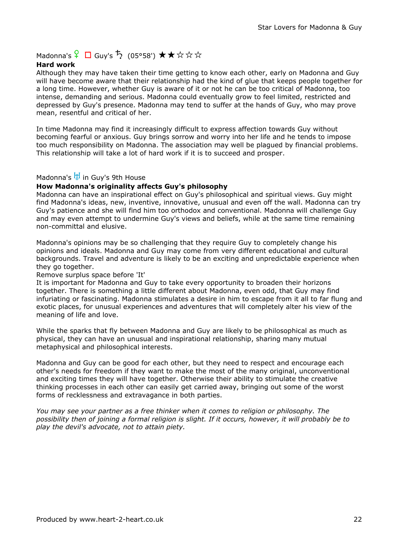Madonna's  $\frac{6}{5}$   $\Box$  Guy's  $\overline{5}$  (05°58')  $\star \star \star \star \star$ 

#### Hard work

Although they may have taken their time getting to know each other, early on Madonna and Guy will have become aware that their relationship had the kind of glue that keeps people together for a long time. However, whether Guy is aware of it or not he can be too critical of Madonna, too intense, demanding and serious. Madonna could eventually grow to feel limited, restricted and depressed by Guy's presence. Madonna may tend to suffer at the hands of Guy, who may prove mean, resentful and critical of her.

In time Madonna may find it increasingly difficult to express affection towards Guy without becoming fearful or anxious. Guy brings sorrow and worry into her life and he tends to impose too much responsibility on Madonna. The association may well be plagued by financial problems. This relationship will take a lot of hard work if it is to succeed and prosper.

### Madonna's H<sub>J</sub> in Guy's 9th House

#### How Madonna's originality affects Guy's philosophy

Madonna can have an inspirational effect on Guy's philosophical and spiritual views. Guy might find Madonna's ideas, new, inventive, innovative, unusual and even off the wall. Madonna can try Guy's patience and she will find him too orthodox and conventional. Madonna will challenge Guy and may even attempt to undermine Guy's views and beliefs, while at the same time remaining non-committal and elusive.

Madonna's opinions may be so challenging that they require Guy to completely change his opinions and ideals. Madonna and Guy may come from very different educational and cultural backgrounds. Travel and adventure is likely to be an exciting and unpredictable experience when they go together.

Remove surplus space before 'It'

It is important for Madonna and Guy to take every opportunity to broaden their horizons together. There is something a little different about Madonna, even odd, that Guy may find infuriating or fascinating. Madonna stimulates a desire in him to escape from it all to far flung and exotic places, for unusual experiences and adventures that will completely alter his view of the meaning of life and love.

While the sparks that fly between Madonna and Guy are likely to be philosophical as much as physical, they can have an unusual and inspirational relationship, sharing many mutual metaphysical and philosophical interests.

Madonna and Guy can be good for each other, but they need to respect and encourage each other's needs for freedom if they want to make the most of the many original, unconventional and exciting times they will have together. Otherwise their ability to stimulate the creative thinking processes in each other can easily get carried away, bringing out some of the worst forms of recklessness and extravagance in both parties.

You may see your partner as a free thinker when it comes to religion or philosophy. The possibility then of joining a formal religion is slight. If it occurs, however, it will probably be to play the devil's advocate, not to attain piety.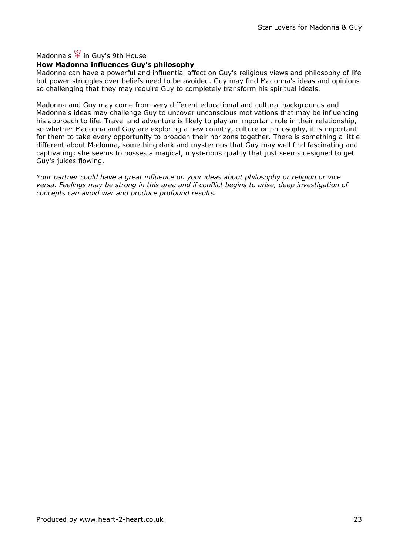Madonna's  $\frac{\varphi}{I}$  in Guy's 9th House

### How Madonna influences Guy's philosophy

Madonna can have a powerful and influential affect on Guy's religious views and philosophy of life but power struggles over beliefs need to be avoided. Guy may find Madonna's ideas and opinions so challenging that they may require Guy to completely transform his spiritual ideals.

Madonna and Guy may come from very different educational and cultural backgrounds and Madonna's ideas may challenge Guy to uncover unconscious motivations that may be influencing his approach to life. Travel and adventure is likely to play an important role in their relationship, so whether Madonna and Guy are exploring a new country, culture or philosophy, it is important for them to take every opportunity to broaden their horizons together. There is something a little different about Madonna, something dark and mysterious that Guy may well find fascinating and captivating; she seems to posses a magical, mysterious quality that just seems designed to get Guy's juices flowing.

Your partner could have a great influence on your ideas about philosophy or religion or vice versa. Feelings may be strong in this area and if conflict begins to arise, deep investigation of concepts can avoid war and produce profound results.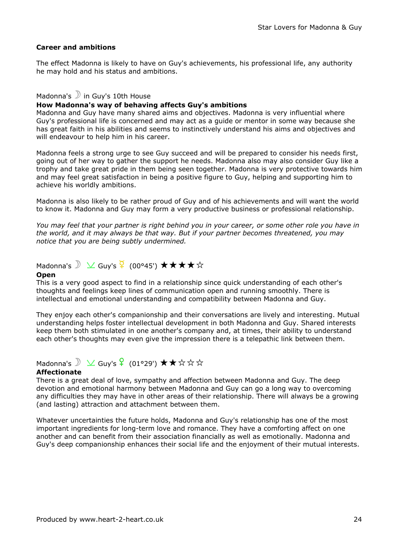#### Career and ambitions

The effect Madonna is likely to have on Guy's achievements, his professional life, any authority he may hold and his status and ambitions.

### Madonna's  $\sum$  in Guy's 10th House

#### How Madonna's way of behaving affects Guy's ambitions

Madonna and Guy have many shared aims and objectives. Madonna is very influential where Guy's professional life is concerned and may act as a guide or mentor in some way because she has great faith in his abilities and seems to instinctively understand his aims and objectives and will endeavour to help him in his career.

Madonna feels a strong urge to see Guy succeed and will be prepared to consider his needs first, going out of her way to gather the support he needs. Madonna also may also consider Guy like a trophy and take great pride in them being seen together. Madonna is very protective towards him and may feel great satisfaction in being a positive figure to Guy, helping and supporting him to achieve his worldly ambitions.

Madonna is also likely to be rather proud of Guy and of his achievements and will want the world to know it. Madonna and Guy may form a very productive business or professional relationship.

You may feel that your partner is right behind you in your career, or some other role you have in the world, and it may always be that way. But if your partner becomes threatened, you may notice that you are being subtly undermined.

## Madonna's  $\sum$   $\sqrt{2}$  Guy's  $\frac{1}{2}$  (00°45')  $\star \star \star \star \star$

#### **Open**

This is a very good aspect to find in a relationship since quick understanding of each other's thoughts and feelings keep lines of communication open and running smoothly. There is intellectual and emotional understanding and compatibility between Madonna and Guy.

They enjoy each other's companionship and their conversations are lively and interesting. Mutual understanding helps foster intellectual development in both Madonna and Guy. Shared interests keep them both stimulated in one another's company and, at times, their ability to understand each other's thoughts may even give the impression there is a telepathic link between them.

## Madonna's  $\sum X$  Guy's  $\frac{6}{5}$  (01°29')  $\star \star \star \star \star$

#### Affectionate

There is a great deal of love, sympathy and affection between Madonna and Guy. The deep devotion and emotional harmony between Madonna and Guy can go a long way to overcoming any difficulties they may have in other areas of their relationship. There will always be a growing (and lasting) attraction and attachment between them.

Whatever uncertainties the future holds, Madonna and Guy's relationship has one of the most important ingredients for long-term love and romance. They have a comforting affect on one another and can benefit from their association financially as well as emotionally. Madonna and Guy's deep companionship enhances their social life and the enjoyment of their mutual interests.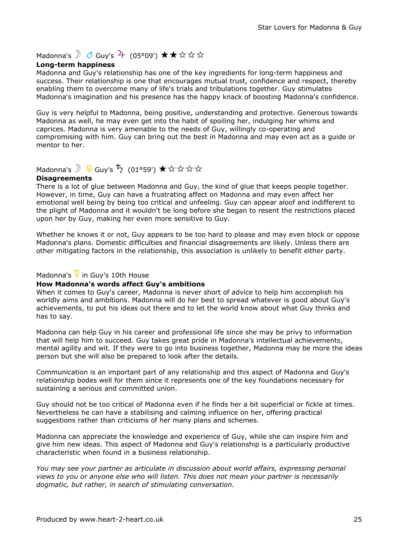## Madonna's  $\begin{matrix} 0 & \mathsf{Guy's} \mathsf{H} & (05^{\circ}09') & \bigstar \star \mathsf{G} \mathsf{G} \mathsf{G} \end{matrix}$

#### Long-term happiness

Madonna and Guy's relationship has one of the key ingredients for long-term happiness and success. Their relationship is one that encourages mutual trust, confidence and respect, thereby enabling them to overcome many of life's trials and tribulations together. Guy stimulates Madonna's imagination and his presence has the happy knack of boosting Madonna's confidence.

Guy is very helpful to Madonna, being positive, understanding and protective. Generous towards Madonna as well, he may even get into the habit of spoiling her, indulging her whims and caprices. Madonna is very amenable to the needs of Guy, willingly co-operating and compromising with him. Guy can bring out the best in Madonna and may even act as a guide or mentor to her.

## Madonna's  $\mathbb{F}$  Guy's  $\mathbb{F}$  (01°59')  $\star$   $\star$   $\star$   $\star$   $\star$   $\star$

#### Disagreements

There is a lot of glue between Madonna and Guy, the kind of glue that keeps people together. However, in time, Guy can have a frustrating affect on Madonna and may even affect her emotional well being by being too critical and unfeeling. Guy can appear aloof and indifferent to the plight of Madonna and it wouldn't be long before she began to resent the restrictions placed upon her by Guy, making her even more sensitive to Guy.

Whether he knows it or not, Guy appears to be too hard to please and may even block or oppose Madonna's plans. Domestic difficulties and financial disagreements are likely. Unless there are other mitigating factors in the relationship, this association is unlikely to benefit either party.

## Madonna's  $\frac{Q}{I}$  in Guy's 10th House

#### How Madonna's words affect Guy's ambitions

When it comes to Guy's career, Madonna is never short of advice to help him accomplish his worldly aims and ambitions. Madonna will do her best to spread whatever is good about Guy's achievements, to put his ideas out there and to let the world know about what Guy thinks and has to say.

Madonna can help Guy in his career and professional life since she may be privy to information that will help him to succeed. Guy takes great pride in Madonna's intellectual achievements, mental agility and wit. If they were to go into business together, Madonna may be more the ideas person but she will also be prepared to look after the details.

Communication is an important part of any relationship and this aspect of Madonna and Guy's relationship bodes well for them since it represents one of the key foundations necessary for sustaining a serious and committed union.

Guy should not be too critical of Madonna even if he finds her a bit superficial or fickle at times. Nevertheless he can have a stabilising and calming influence on her, offering practical suggestions rather than criticisms of her many plans and schemes.

Madonna can appreciate the knowledge and experience of Guy, while she can inspire him and give him new ideas. This aspect of Madonna and Guy's relationship is a particularly productive characteristic when found in a business relationship.

You may see your partner as articulate in discussion about world affairs, expressing personal views to you or anyone else who will listen. This does not mean your partner is necessarily dogmatic, but rather, in search of stimulating conversation.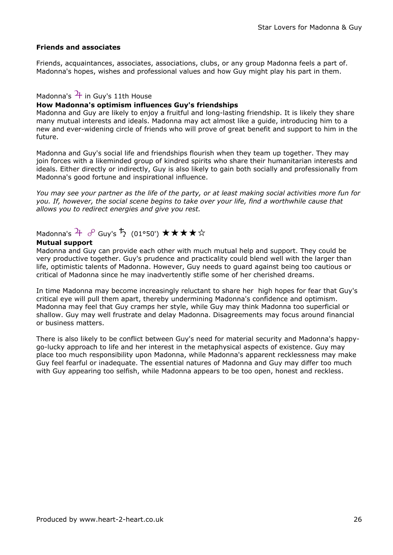#### Friends and associates

Friends, acquaintances, associates, associations, clubs, or any group Madonna feels a part of. Madonna's hopes, wishes and professional values and how Guy might play his part in them.

### Madonna's  $\frac{1}{1}$  in Guy's 11th House

#### How Madonna's optimism influences Guy's friendships

Madonna and Guy are likely to enjoy a fruitful and long-lasting friendship. It is likely they share many mutual interests and ideals. Madonna may act almost like a guide, introducing him to a new and ever-widening circle of friends who will prove of great benefit and support to him in the future.

Madonna and Guy's social life and friendships flourish when they team up together. They may join forces with a likeminded group of kindred spirits who share their humanitarian interests and ideals. Either directly or indirectly, Guy is also likely to gain both socially and professionally from Madonna's good fortune and inspirational influence.

You may see your partner as the life of the party, or at least making social activities more fun for you. If, however, the social scene begins to take over your life, find a worthwhile cause that allows you to redirect energies and give you rest.

## Madonna's  $\overline{4}$   $\sigma$  Guy's  $\overline{5}$  (01°50')  $\star \star \star \star \star$

#### Mutual support

Madonna and Guy can provide each other with much mutual help and support. They could be very productive together. Guy's prudence and practicality could blend well with the larger than life, optimistic talents of Madonna. However, Guy needs to guard against being too cautious or critical of Madonna since he may inadvertently stifle some of her cherished dreams.

In time Madonna may become increasingly reluctant to share her high hopes for fear that Guy's critical eye will pull them apart, thereby undermining Madonna's confidence and optimism. Madonna may feel that Guy cramps her style, while Guy may think Madonna too superficial or shallow. Guy may well frustrate and delay Madonna. Disagreements may focus around financial or business matters.

There is also likely to be conflict between Guy's need for material security and Madonna's happygo-lucky approach to life and her interest in the metaphysical aspects of existence. Guy may place too much responsibility upon Madonna, while Madonna's apparent recklessness may make Guy feel fearful or inadequate. The essential natures of Madonna and Guy may differ too much with Guy appearing too selfish, while Madonna appears to be too open, honest and reckless.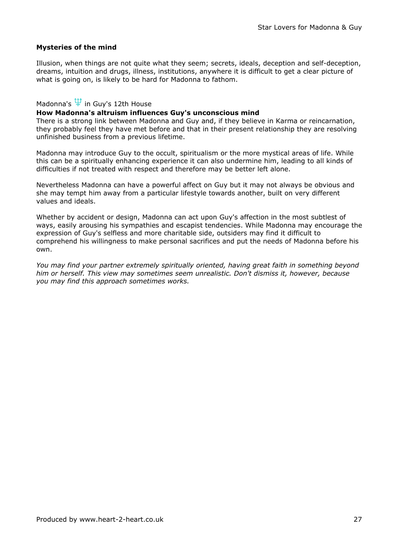#### Mysteries of the mind

Illusion, when things are not quite what they seem; secrets, ideals, deception and self-deception, dreams, intuition and drugs, illness, institutions, anywhere it is difficult to get a clear picture of what is going on, is likely to be hard for Madonna to fathom.

#### Madonna's  $\Psi$  in Guy's 12th House

#### How Madonna's altruism influences Guy's unconscious mind

There is a strong link between Madonna and Guy and, if they believe in Karma or reincarnation, they probably feel they have met before and that in their present relationship they are resolving unfinished business from a previous lifetime.

Madonna may introduce Guy to the occult, spiritualism or the more mystical areas of life. While this can be a spiritually enhancing experience it can also undermine him, leading to all kinds of difficulties if not treated with respect and therefore may be better left alone.

Nevertheless Madonna can have a powerful affect on Guy but it may not always be obvious and she may tempt him away from a particular lifestyle towards another, built on very different values and ideals.

Whether by accident or design, Madonna can act upon Guy's affection in the most subtlest of ways, easily arousing his sympathies and escapist tendencies. While Madonna may encourage the expression of Guy's selfless and more charitable side, outsiders may find it difficult to comprehend his willingness to make personal sacrifices and put the needs of Madonna before his own.

You may find your partner extremely spiritually oriented, having great faith in something beyond him or herself. This view may sometimes seem unrealistic. Don't dismiss it, however, because you may find this approach sometimes works.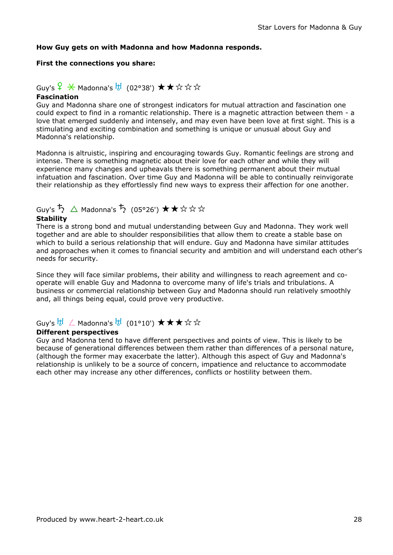#### How Guy gets on with Madonna and how Madonna responds.

#### First the connections you share:

# Guy's  $\frac{6}{5}$   $\frac{1}{2}$  Madonna's  $\frac{11}{5}$  (02°38') ★★☆☆☆

### Fascination

Guy and Madonna share one of strongest indicators for mutual attraction and fascination one could expect to find in a romantic relationship. There is a magnetic attraction between them - a love that emerged suddenly and intensely, and may even have been love at first sight. This is a stimulating and exciting combination and something is unique or unusual about Guy and Madonna's relationship.

Madonna is altruistic, inspiring and encouraging towards Guy. Romantic feelings are strong and intense. There is something magnetic about their love for each other and while they will experience many changes and upheavals there is something permanent about their mutual infatuation and fascination. Over time Guy and Madonna will be able to continually reinvigorate their relationship as they effortlessly find new ways to express their affection for one another.

## Guy's ち △ Madonna's ち (05°26')  $\star\star$ ☆☆☆

#### **Stability**

There is a strong bond and mutual understanding between Guy and Madonna. They work well together and are able to shoulder responsibilities that allow them to create a stable base on which to build a serious relationship that will endure. Guy and Madonna have similar attitudes and approaches when it comes to financial security and ambition and will understand each other's needs for security.

Since they will face similar problems, their ability and willingness to reach agreement and cooperate will enable Guy and Madonna to overcome many of life's trials and tribulations. A business or commercial relationship between Guy and Madonna should run relatively smoothly and, all things being equal, could prove very productive.

### Guy's td ∠ Madonna's td (01°10')  $\bigstar \star \star \rightsquigarrow$

### Different perspectives

Guy and Madonna tend to have different perspectives and points of view. This is likely to be because of generational differences between them rather than differences of a personal nature, (although the former may exacerbate the latter). Although this aspect of Guy and Madonna's relationship is unlikely to be a source of concern, impatience and reluctance to accommodate each other may increase any other differences, conflicts or hostility between them.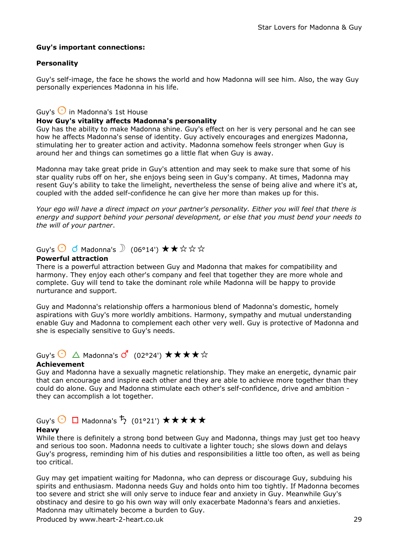#### Guy's important connections:

#### **Personality**

Guy's self-image, the face he shows the world and how Madonna will see him. Also, the way Guy personally experiences Madonna in his life.

### Guy's  $\bigcirc$  in Madonna's 1st House

#### How Guy's vitality affects Madonna's personality

Guy has the ability to make Madonna shine. Guy's effect on her is very personal and he can see how he affects Madonna's sense of identity. Guy actively encourages and energizes Madonna, stimulating her to greater action and activity. Madonna somehow feels stronger when Guy is around her and things can sometimes go a little flat when Guy is away.

Madonna may take great pride in Guy's attention and may seek to make sure that some of his star quality rubs off on her, she enjoys being seen in Guy's company. At times, Madonna may resent Guy's ability to take the limelight, nevertheless the sense of being alive and where it's at, coupled with the added self-confidence he can give her more than makes up for this.

Your ego will have a direct impact on your partner's personality. Either you will feel that there is energy and support behind your personal development, or else that you must bend your needs to the will of your partner.

## Guy's  $\bigcirc$   $\bigcirc$  Madonna's  $\bigcirc$  (06°14')  $\star \star \star \star \star$

#### Powerful attraction

There is a powerful attraction between Guy and Madonna that makes for compatibility and harmony. They enjoy each other's company and feel that together they are more whole and complete. Guy will tend to take the dominant role while Madonna will be happy to provide nurturance and support.

Guy and Madonna's relationship offers a harmonious blend of Madonna's domestic, homely aspirations with Guy's more worldly ambitions. Harmony, sympathy and mutual understanding enable Guy and Madonna to complement each other very well. Guy is protective of Madonna and she is especially sensitive to Guy's needs.

## Guy's  $\bigcirc$   $\Delta$  Madonna's  $\overline{O}'$  (02°24')  $\star \star \star \star \star$

#### Achievement

Guy and Madonna have a sexually magnetic relationship. They make an energetic, dynamic pair that can encourage and inspire each other and they are able to achieve more together than they could do alone. Guy and Madonna stimulate each other's self-confidence, drive and ambition they can accomplish a lot together.

## Guy's  $\bigcirc$   $\Box$  Madonna's  $\stackrel{+}{\rightarrow}$  (01°21')  $\star\star\star\star\star$

#### **Heavy**

While there is definitely a strong bond between Guy and Madonna, things may just get too heavy and serious too soon. Madonna needs to cultivate a lighter touch; she slows down and delays Guy's progress, reminding him of his duties and responsibilities a little too often, as well as being too critical.

Guy may get impatient waiting for Madonna, who can depress or discourage Guy, subduing his spirits and enthusiasm. Madonna needs Guy and holds onto him too tightly. If Madonna becomes too severe and strict she will only serve to induce fear and anxiety in Guy. Meanwhile Guy's obstinacy and desire to go his own way will only exacerbate Madonna's fears and anxieties. Madonna may ultimately become a burden to Guy.

Produced by www.heart-2-heart.co.uk 29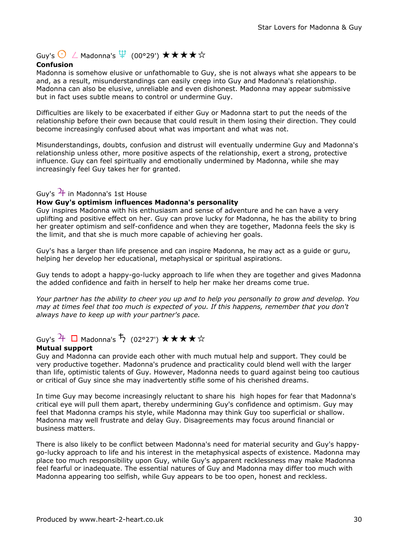## Guy's  $\bigodot$   $\angle$  Madonna's  $\Psi$  (00°29')  $\star \star \star \star \star$

#### Confusion

Madonna is somehow elusive or unfathomable to Guy, she is not always what she appears to be and, as a result, misunderstandings can easily creep into Guy and Madonna's relationship. Madonna can also be elusive, unreliable and even dishonest. Madonna may appear submissive but in fact uses subtle means to control or undermine Guy.

Difficulties are likely to be exacerbated if either Guy or Madonna start to put the needs of the relationship before their own because that could result in them losing their direction. They could become increasingly confused about what was important and what was not.

Misunderstandings, doubts, confusion and distrust will eventually undermine Guy and Madonna's relationship unless other, more positive aspects of the relationship, exert a strong, protective influence. Guy can feel spiritually and emotionally undermined by Madonna, while she may increasingly feel Guy takes her for granted.

#### Guy's  $\frac{1}{1}$  in Madonna's 1st House

#### How Guy's optimism influences Madonna's personality

Guy inspires Madonna with his enthusiasm and sense of adventure and he can have a very uplifting and positive effect on her. Guy can prove lucky for Madonna, he has the ability to bring her greater optimism and self-confidence and when they are together, Madonna feels the sky is the limit, and that she is much more capable of achieving her goals.

Guy's has a larger than life presence and can inspire Madonna, he may act as a guide or guru, helping her develop her educational, metaphysical or spiritual aspirations.

Guy tends to adopt a happy-go-lucky approach to life when they are together and gives Madonna the added confidence and faith in herself to help her make her dreams come true.

Your partner has the ability to cheer you up and to help you personally to grow and develop. You may at times feel that too much is expected of you. If this happens, remember that you don't always have to keep up with your partner's pace.

## Guy's  $\overline{f}$   $\Box$  Madonna's  $\overline{f}$  (02°27')  $\star \star \star \star \star$

#### Mutual support

Guy and Madonna can provide each other with much mutual help and support. They could be very productive together. Madonna's prudence and practicality could blend well with the larger than life, optimistic talents of Guy. However, Madonna needs to guard against being too cautious or critical of Guy since she may inadvertently stifle some of his cherished dreams.

In time Guy may become increasingly reluctant to share his high hopes for fear that Madonna's critical eye will pull them apart, thereby undermining Guy's confidence and optimism. Guy may feel that Madonna cramps his style, while Madonna may think Guy too superficial or shallow. Madonna may well frustrate and delay Guy. Disagreements may focus around financial or business matters.

There is also likely to be conflict between Madonna's need for material security and Guy's happygo-lucky approach to life and his interest in the metaphysical aspects of existence. Madonna may place too much responsibility upon Guy, while Guy's apparent recklessness may make Madonna feel fearful or inadequate. The essential natures of Guy and Madonna may differ too much with Madonna appearing too selfish, while Guy appears to be too open, honest and reckless.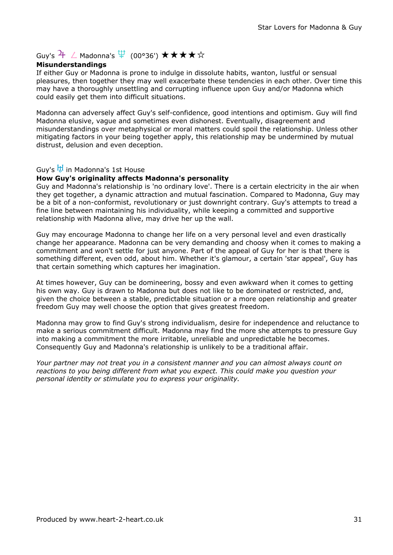## Guy's  $\frac{1}{4}$  / Madonna's  $\overline{\psi}$  (00°36')  $\star \star \star \star \star$

#### Misunderstandings

If either Guy or Madonna is prone to indulge in dissolute habits, wanton, lustful or sensual pleasures, then together they may well exacerbate these tendencies in each other. Over time this may have a thoroughly unsettling and corrupting influence upon Guy and/or Madonna which could easily get them into difficult situations.

Madonna can adversely affect Guy's self-confidence, good intentions and optimism. Guy will find Madonna elusive, vague and sometimes even dishonest. Eventually, disagreement and misunderstandings over metaphysical or moral matters could spoil the relationship. Unless other mitigating factors in your being together apply, this relationship may be undermined by mutual distrust, delusion and even deception.

### Guy's the in Madonna's 1st House

#### How Guy's originality affects Madonna's personality

Guy and Madonna's relationship is 'no ordinary love'. There is a certain electricity in the air when they get together, a dynamic attraction and mutual fascination. Compared to Madonna, Guy may be a bit of a non-conformist, revolutionary or just downright contrary. Guy's attempts to tread a fine line between maintaining his individuality, while keeping a committed and supportive relationship with Madonna alive, may drive her up the wall.

Guy may encourage Madonna to change her life on a very personal level and even drastically change her appearance. Madonna can be very demanding and choosy when it comes to making a commitment and won't settle for just anyone. Part of the appeal of Guy for her is that there is something different, even odd, about him. Whether it's glamour, a certain 'star appeal', Guy has that certain something which captures her imagination.

At times however, Guy can be domineering, bossy and even awkward when it comes to getting his own way. Guy is drawn to Madonna but does not like to be dominated or restricted, and, given the choice between a stable, predictable situation or a more open relationship and greater freedom Guy may well choose the option that gives greatest freedom.

Madonna may grow to find Guy's strong individualism, desire for independence and reluctance to make a serious commitment difficult. Madonna may find the more she attempts to pressure Guy into making a commitment the more irritable, unreliable and unpredictable he becomes. Consequently Guy and Madonna's relationship is unlikely to be a traditional affair.

Your partner may not treat you in a consistent manner and you can almost always count on reactions to you being different from what you expect. This could make you question your personal identity or stimulate you to express your originality.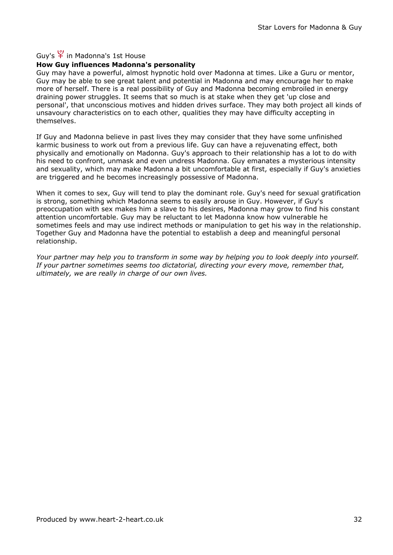### Guy's  $\frac{10}{10}$  in Madonna's 1st House

#### How Guy influences Madonna's personality

Guy may have a powerful, almost hypnotic hold over Madonna at times. Like a Guru or mentor, Guy may be able to see great talent and potential in Madonna and may encourage her to make more of herself. There is a real possibility of Guy and Madonna becoming embroiled in energy draining power struggles. It seems that so much is at stake when they get 'up close and personal', that unconscious motives and hidden drives surface. They may both project all kinds of unsavoury characteristics on to each other, qualities they may have difficulty accepting in themselves.

If Guy and Madonna believe in past lives they may consider that they have some unfinished karmic business to work out from a previous life. Guy can have a rejuvenating effect, both physically and emotionally on Madonna. Guy's approach to their relationship has a lot to do with his need to confront, unmask and even undress Madonna. Guy emanates a mysterious intensity and sexuality, which may make Madonna a bit uncomfortable at first, especially if Guy's anxieties are triggered and he becomes increasingly possessive of Madonna.

When it comes to sex, Guy will tend to play the dominant role. Guy's need for sexual gratification is strong, something which Madonna seems to easily arouse in Guy. However, if Guy's preoccupation with sex makes him a slave to his desires, Madonna may grow to find his constant attention uncomfortable. Guy may be reluctant to let Madonna know how vulnerable he sometimes feels and may use indirect methods or manipulation to get his way in the relationship. Together Guy and Madonna have the potential to establish a deep and meaningful personal relationship.

Your partner may help you to transform in some way by helping you to look deeply into yourself. If your partner sometimes seems too dictatorial, directing your every move, remember that, ultimately, we are really in charge of our own lives.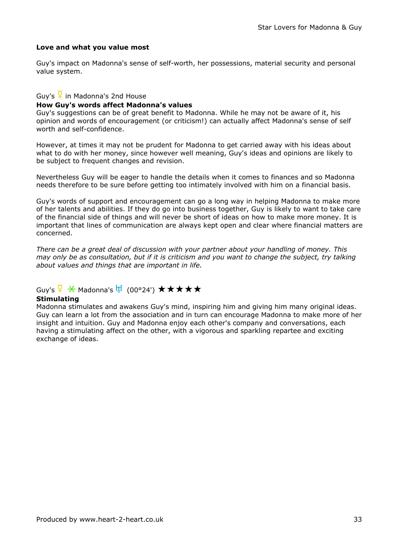#### Love and what you value most

Guy's impact on Madonna's sense of self-worth, her possessions, material security and personal value system.

#### Guy's  $\frac{6}{5}$  in Madonna's 2nd House

#### How Guy's words affect Madonna's values

Guy's suggestions can be of great benefit to Madonna. While he may not be aware of it, his opinion and words of encouragement (or criticism!) can actually affect Madonna's sense of self worth and self-confidence.

However, at times it may not be prudent for Madonna to get carried away with his ideas about what to do with her money, since however well meaning, Guy's ideas and opinions are likely to be subject to frequent changes and revision.

Nevertheless Guy will be eager to handle the details when it comes to finances and so Madonna needs therefore to be sure before getting too intimately involved with him on a financial basis.

Guy's words of support and encouragement can go a long way in helping Madonna to make more of her talents and abilities. If they do go into business together, Guy is likely to want to take care of the financial side of things and will never be short of ideas on how to make more money. It is important that lines of communication are always kept open and clear where financial matters are concerned.

There can be a great deal of discussion with your partner about your handling of money. This may only be as consultation, but if it is criticism and you want to change the subject, try talking about values and things that are important in life.

## Guy's  $\frac{Q}{I}$   $\frac{Q}{I}$  Madonna's  $\frac{H}{I}$  (00°24')  $\star \star \star \star \star$

#### **Stimulating**

Madonna stimulates and awakens Guy's mind, inspiring him and giving him many original ideas. Guy can learn a lot from the association and in turn can encourage Madonna to make more of her insight and intuition. Guy and Madonna enjoy each other's company and conversations, each having a stimulating affect on the other, with a vigorous and sparkling repartee and exciting exchange of ideas.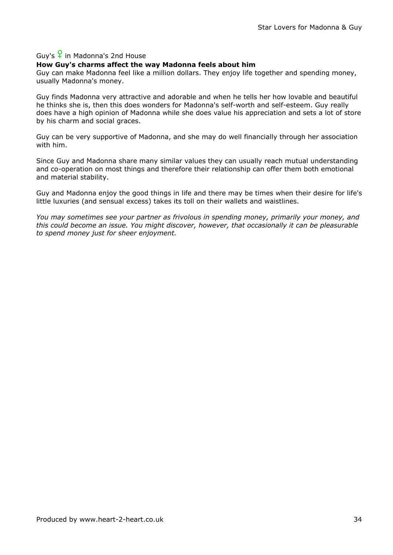### Guy's  $\frac{6}{5}$  in Madonna's 2nd House

#### How Guy's charms affect the way Madonna feels about him

Guy can make Madonna feel like a million dollars. They enjoy life together and spending money, usually Madonna's money.

Guy finds Madonna very attractive and adorable and when he tells her how lovable and beautiful he thinks she is, then this does wonders for Madonna's self-worth and self-esteem. Guy really does have a high opinion of Madonna while she does value his appreciation and sets a lot of store by his charm and social graces.

Guy can be very supportive of Madonna, and she may do well financially through her association with him.

Since Guy and Madonna share many similar values they can usually reach mutual understanding and co-operation on most things and therefore their relationship can offer them both emotional and material stability.

Guy and Madonna enjoy the good things in life and there may be times when their desire for life's little luxuries (and sensual excess) takes its toll on their wallets and waistlines.

You may sometimes see your partner as frivolous in spending money, primarily your money, and this could become an issue. You might discover, however, that occasionally it can be pleasurable to spend money just for sheer enjoyment.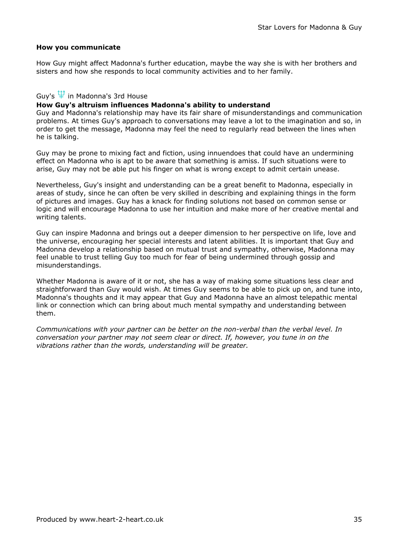#### How you communicate

How Guy might affect Madonna's further education, maybe the way she is with her brothers and sisters and how she responds to local community activities and to her family.

#### Guy's  $\overline{\Psi}$  in Madonna's 3rd House

### How Guy's altruism influences Madonna's ability to understand

Guy and Madonna's relationship may have its fair share of misunderstandings and communication problems. At times Guy's approach to conversations may leave a lot to the imagination and so, in order to get the message, Madonna may feel the need to regularly read between the lines when he is talking.

Guy may be prone to mixing fact and fiction, using innuendoes that could have an undermining effect on Madonna who is apt to be aware that something is amiss. If such situations were to arise, Guy may not be able put his finger on what is wrong except to admit certain unease.

Nevertheless, Guy's insight and understanding can be a great benefit to Madonna, especially in areas of study, since he can often be very skilled in describing and explaining things in the form of pictures and images. Guy has a knack for finding solutions not based on common sense or logic and will encourage Madonna to use her intuition and make more of her creative mental and writing talents.

Guy can inspire Madonna and brings out a deeper dimension to her perspective on life, love and the universe, encouraging her special interests and latent abilities. It is important that Guy and Madonna develop a relationship based on mutual trust and sympathy, otherwise, Madonna may feel unable to trust telling Guy too much for fear of being undermined through gossip and misunderstandings.

Whether Madonna is aware of it or not, she has a way of making some situations less clear and straightforward than Guy would wish. At times Guy seems to be able to pick up on, and tune into, Madonna's thoughts and it may appear that Guy and Madonna have an almost telepathic mental link or connection which can bring about much mental sympathy and understanding between them.

Communications with your partner can be better on the non-verbal than the verbal level. In conversation your partner may not seem clear or direct. If, however, you tune in on the vibrations rather than the words, understanding will be greater.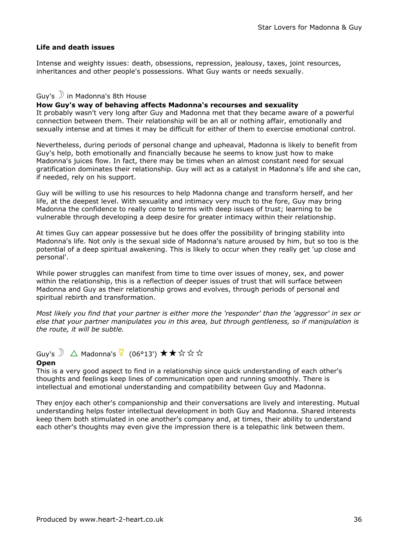#### Life and death issues

Intense and weighty issues: death, obsessions, repression, jealousy, taxes, joint resources, inheritances and other people's possessions. What Guy wants or needs sexually.

#### Guy's  $\mathcal{D}$  in Madonna's 8th House

#### How Guy's way of behaving affects Madonna's recourses and sexuality

It probably wasn't very long after Guy and Madonna met that they became aware of a powerful connection between them. Their relationship will be an all or nothing affair, emotionally and sexually intense and at times it may be difficult for either of them to exercise emotional control.

Nevertheless, during periods of personal change and upheaval, Madonna is likely to benefit from Guy's help, both emotionally and financially because he seems to know just how to make Madonna's juices flow. In fact, there may be times when an almost constant need for sexual gratification dominates their relationship. Guy will act as a catalyst in Madonna's life and she can, if needed, rely on his support.

Guy will be willing to use his resources to help Madonna change and transform herself, and her life, at the deepest level. With sexuality and intimacy very much to the fore, Guy may bring Madonna the confidence to really come to terms with deep issues of trust; learning to be vulnerable through developing a deep desire for greater intimacy within their relationship.

At times Guy can appear possessive but he does offer the possibility of bringing stability into Madonna's life. Not only is the sexual side of Madonna's nature aroused by him, but so too is the potential of a deep spiritual awakening. This is likely to occur when they really get 'up close and personal'.

While power struggles can manifest from time to time over issues of money, sex, and power within the relationship, this is a reflection of deeper issues of trust that will surface between Madonna and Guy as their relationship grows and evolves, through periods of personal and spiritual rebirth and transformation.

Most likely you find that your partner is either more the 'responder' than the 'aggressor' in sex or else that your partner manipulates you in this area, but through gentleness, so if manipulation is the route, it will be subtle.

Guy's  $\sum \Delta$  Madonna's  $\frac{Q}{I}$  (06°13')  $\star \star \star \star \star \star$ 

#### **Open**

This is a very good aspect to find in a relationship since quick understanding of each other's thoughts and feelings keep lines of communication open and running smoothly. There is intellectual and emotional understanding and compatibility between Guy and Madonna.

They enjoy each other's companionship and their conversations are lively and interesting. Mutual understanding helps foster intellectual development in both Guy and Madonna. Shared interests keep them both stimulated in one another's company and, at times, their ability to understand each other's thoughts may even give the impression there is a telepathic link between them.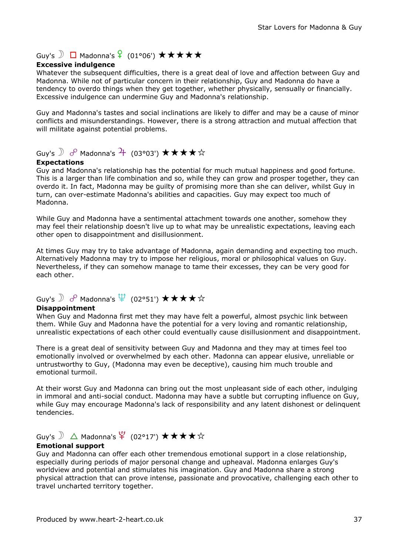## Guy's  $\bigcirc$   $\Box$  Madonna's  $\frac{6}{5}$  (01°06')  $\star \star \star \star \star$

#### Excessive indulgence

Whatever the subsequent difficulties, there is a great deal of love and affection between Guy and Madonna. While not of particular concern in their relationship, Guy and Madonna do have a tendency to overdo things when they get together, whether physically, sensually or financially. Excessive indulgence can undermine Guy and Madonna's relationship.

Guy and Madonna's tastes and social inclinations are likely to differ and may be a cause of minor conflicts and misunderstandings. However, there is a strong attraction and mutual affection that will militate against potential problems.

## Guy's  $\partial$   $\partial$  Madonna's  $\overline{f}$  (03°03')  $\star \star \star \star \star$

#### Expectations

Guy and Madonna's relationship has the potential for much mutual happiness and good fortune. This is a larger than life combination and so, while they can grow and prosper together, they can overdo it. In fact, Madonna may be guilty of promising more than she can deliver, whilst Guy in turn, can over-estimate Madonna's abilities and capacities. Guy may expect too much of Madonna.

While Guy and Madonna have a sentimental attachment towards one another, somehow they may feel their relationship doesn't live up to what may be unrealistic expectations, leaving each other open to disappointment and disillusionment.

At times Guy may try to take advantage of Madonna, again demanding and expecting too much. Alternatively Madonna may try to impose her religious, moral or philosophical values on Guy. Nevertheless, if they can somehow manage to tame their excesses, they can be very good for each other.

# Guy's  $\mathbb D$  o<sup>o</sup> Madonna's  $\overline{\Psi}$  (02°51')  $\bigstar\bigstar\bigstar\bigstar$

#### Disappointment

When Guy and Madonna first met they may have felt a powerful, almost psychic link between them. While Guy and Madonna have the potential for a very loving and romantic relationship, unrealistic expectations of each other could eventually cause disillusionment and disappointment.

There is a great deal of sensitivity between Guy and Madonna and they may at times feel too emotionally involved or overwhelmed by each other. Madonna can appear elusive, unreliable or untrustworthy to Guy, (Madonna may even be deceptive), causing him much trouble and emotional turmoil.

At their worst Guy and Madonna can bring out the most unpleasant side of each other, indulging in immoral and anti-social conduct. Madonna may have a subtle but corrupting influence on Guy, while Guy may encourage Madonna's lack of responsibility and any latent dishonest or delinquent tendencies.

# Guy's  $\mathbb{D}$   $\Delta$  Madonna's  $\mathfrak{P}$  (02°17')  $\star\star\star\star\star$

#### Emotional support

Guy and Madonna can offer each other tremendous emotional support in a close relationship, especially during periods of major personal change and upheaval. Madonna enlarges Guy's worldview and potential and stimulates his imagination. Guy and Madonna share a strong physical attraction that can prove intense, passionate and provocative, challenging each other to travel uncharted territory together.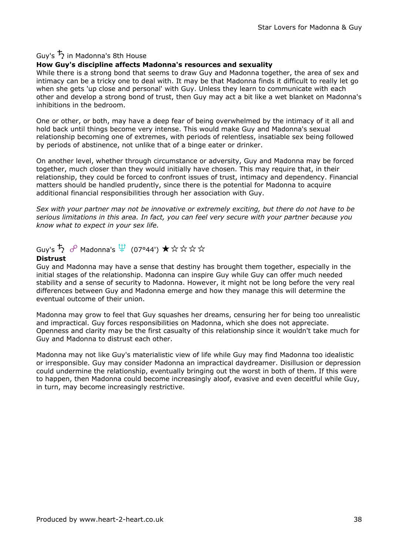### Guy's  $\overline{5}$  in Madonna's 8th House

#### How Guy's discipline affects Madonna's resources and sexuality

While there is a strong bond that seems to draw Guy and Madonna together, the area of sex and intimacy can be a tricky one to deal with. It may be that Madonna finds it difficult to really let go when she gets 'up close and personal' with Guy. Unless they learn to communicate with each other and develop a strong bond of trust, then Guy may act a bit like a wet blanket on Madonna's inhibitions in the bedroom.

One or other, or both, may have a deep fear of being overwhelmed by the intimacy of it all and hold back until things become very intense. This would make Guy and Madonna's sexual relationship becoming one of extremes, with periods of relentless, insatiable sex being followed by periods of abstinence, not unlike that of a binge eater or drinker.

On another level, whether through circumstance or adversity, Guy and Madonna may be forced together, much closer than they would initially have chosen. This may require that, in their relationship, they could be forced to confront issues of trust, intimacy and dependency. Financial matters should be handled prudently, since there is the potential for Madonna to acquire additional financial responsibilities through her association with Guy.

Sex with your partner may not be innovative or extremely exciting, but there do not have to be serious limitations in this area. In fact, you can feel very secure with your partner because you know what to expect in your sex life.

# $G$ uy's  $\overline{\mathcal{D}}$   $\sigma^0$  Madonna's  $\overline{\mathfrak{P}}$  (07°44')  $\bigstar$  ☆ ☆ ☆ ☆

#### Distrust

Guy and Madonna may have a sense that destiny has brought them together, especially in the initial stages of the relationship. Madonna can inspire Guy while Guy can offer much needed stability and a sense of security to Madonna. However, it might not be long before the very real differences between Guy and Madonna emerge and how they manage this will determine the eventual outcome of their union.

Madonna may grow to feel that Guy squashes her dreams, censuring her for being too unrealistic and impractical. Guy forces responsibilities on Madonna, which she does not appreciate. Openness and clarity may be the first casualty of this relationship since it wouldn't take much for Guy and Madonna to distrust each other.

Madonna may not like Guy's materialistic view of life while Guy may find Madonna too idealistic or irresponsible. Guy may consider Madonna an impractical daydreamer. Disillusion or depression could undermine the relationship, eventually bringing out the worst in both of them. If this were to happen, then Madonna could become increasingly aloof, evasive and even deceitful while Guy, in turn, may become increasingly restrictive.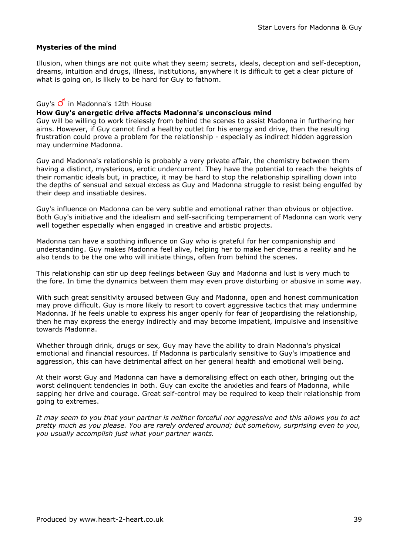#### Mysteries of the mind

Illusion, when things are not quite what they seem; secrets, ideals, deception and self-deception, dreams, intuition and drugs, illness, institutions, anywhere it is difficult to get a clear picture of what is going on, is likely to be hard for Guy to fathom.

### Guy's  $\overline{O}$  in Madonna's 12th House

#### How Guy's energetic drive affects Madonna's unconscious mind

Guy will be willing to work tirelessly from behind the scenes to assist Madonna in furthering her aims. However, if Guy cannot find a healthy outlet for his energy and drive, then the resulting frustration could prove a problem for the relationship - especially as indirect hidden aggression may undermine Madonna.

Guy and Madonna's relationship is probably a very private affair, the chemistry between them having a distinct, mysterious, erotic undercurrent. They have the potential to reach the heights of their romantic ideals but, in practice, it may be hard to stop the relationship spiralling down into the depths of sensual and sexual excess as Guy and Madonna struggle to resist being engulfed by their deep and insatiable desires.

Guy's influence on Madonna can be very subtle and emotional rather than obvious or objective. Both Guy's initiative and the idealism and self-sacrificing temperament of Madonna can work very well together especially when engaged in creative and artistic projects.

Madonna can have a soothing influence on Guy who is grateful for her companionship and understanding. Guy makes Madonna feel alive, helping her to make her dreams a reality and he also tends to be the one who will initiate things, often from behind the scenes.

This relationship can stir up deep feelings between Guy and Madonna and lust is very much to the fore. In time the dynamics between them may even prove disturbing or abusive in some way.

With such great sensitivity aroused between Guy and Madonna, open and honest communication may prove difficult. Guy is more likely to resort to covert aggressive tactics that may undermine Madonna. If he feels unable to express his anger openly for fear of jeopardising the relationship, then he may express the energy indirectly and may become impatient, impulsive and insensitive towards Madonna.

Whether through drink, drugs or sex, Guy may have the ability to drain Madonna's physical emotional and financial resources. If Madonna is particularly sensitive to Guy's impatience and aggression, this can have detrimental affect on her general health and emotional well being.

At their worst Guy and Madonna can have a demoralising effect on each other, bringing out the worst delinquent tendencies in both. Guy can excite the anxieties and fears of Madonna, while sapping her drive and courage. Great self-control may be required to keep their relationship from going to extremes.

It may seem to you that your partner is neither forceful nor aggressive and this allows you to act pretty much as you please. You are rarely ordered around; but somehow, surprising even to you, you usually accomplish just what your partner wants.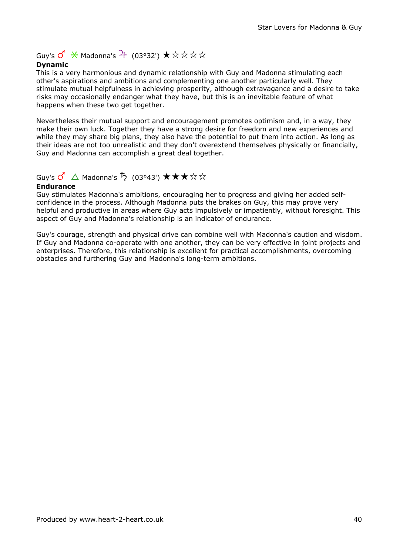Guy's  $\overrightarrow{O}$   $\overrightarrow{X}$  Madonna's  $\overrightarrow{P}$  (03°32')  $\overrightarrow{x}$   $\overleftrightarrow{x}$   $\overleftrightarrow{x}$   $\overleftrightarrow{x}$ 

#### Dynamic

This is a very harmonious and dynamic relationship with Guy and Madonna stimulating each other's aspirations and ambitions and complementing one another particularly well. They stimulate mutual helpfulness in achieving prosperity, although extravagance and a desire to take risks may occasionally endanger what they have, but this is an inevitable feature of what happens when these two get together.

Nevertheless their mutual support and encouragement promotes optimism and, in a way, they make their own luck. Together they have a strong desire for freedom and new experiences and while they may share big plans, they also have the potential to put them into action. As long as their ideas are not too unrealistic and they don't overextend themselves physically or financially, Guy and Madonna can accomplish a great deal together.

## Guy's  $\mathcal{O}' \triangle$  Madonna's  $\mathcal{P}$  (03°43')  $\star \star \star \star \star$

#### Endurance

Guy stimulates Madonna's ambitions, encouraging her to progress and giving her added selfconfidence in the process. Although Madonna puts the brakes on Guy, this may prove very helpful and productive in areas where Guy acts impulsively or impatiently, without foresight. This aspect of Guy and Madonna's relationship is an indicator of endurance.

Guy's courage, strength and physical drive can combine well with Madonna's caution and wisdom. If Guy and Madonna co-operate with one another, they can be very effective in joint projects and enterprises. Therefore, this relationship is excellent for practical accomplishments, overcoming obstacles and furthering Guy and Madonna's long-term ambitions.